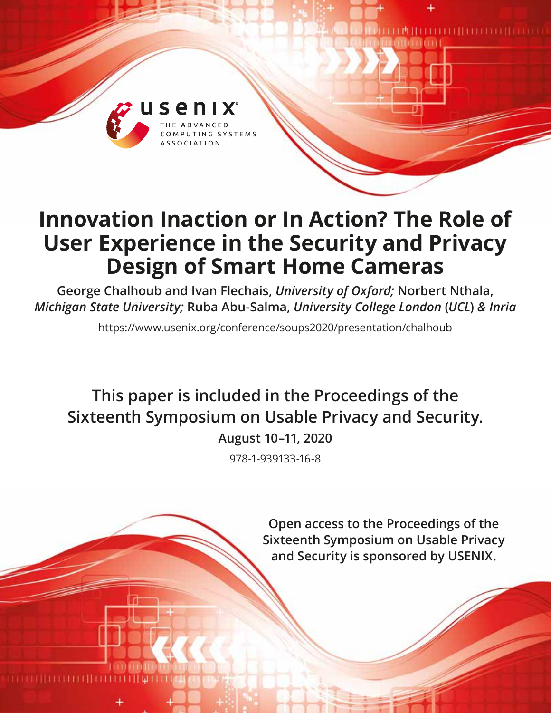

# **Innovation Inaction or In Action? The Role of User Experience in the Security and Privacy Design of Smart Home Cameras**

**George Chalhoub and Ivan Flechais,** *University of Oxford;* **Norbert Nthala,**  *Michigan State University;* **Ruba Abu-Salma,** *University College London* **(***UCL***)** *& Inria*

https://www.usenix.org/conference/soups2020/presentation/chalhoub

**This paper is included in the Proceedings of the Sixteenth Symposium on Usable Privacy and Security.**

**August 10–11, 2020**

978-1-939133-16-8

**Open access to the Proceedings of the Sixteenth Symposium on Usable Privacy and Security is sponsored by USENIX.**

millimmin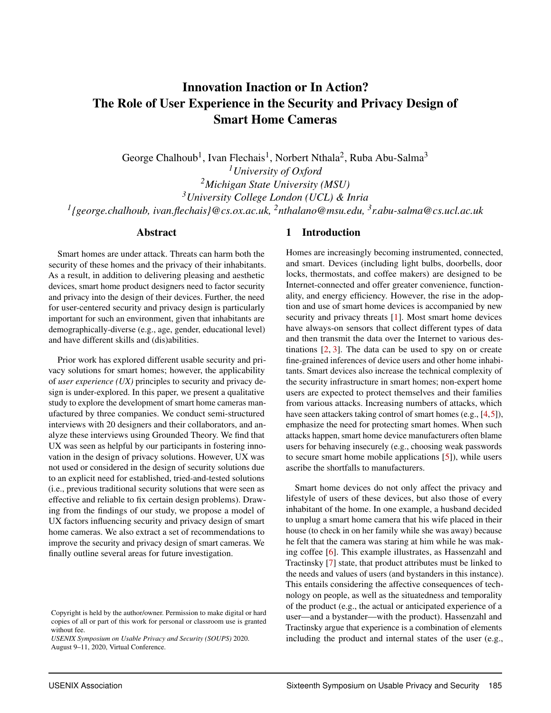# Innovation Inaction or In Action? The Role of User Experience in the Security and Privacy Design of Smart Home Cameras

George Chalhoub<sup>1</sup>, Ivan Flechais<sup>1</sup>, Norbert Nthala<sup>2</sup>, Ruba Abu-Salma<sup>3</sup> *University of Oxford Michigan State University (MSU) University College London (UCL) & Inria [{george.chalhoub,](mailto:george.chalhoub@cs.ox.ac.uk) [ivan.flechais}@](mailto:ivan.flechais@cs.ox.ac.uk)cs.ox.ac.uk, <sup>2</sup>[nthalano@msu.edu,](mailto:nthalano@msu.edu) 3 [r.abu-salma@cs.ucl.ac.uk](mailto:r.abu-salma@cs.ucl.ac.uk)*

#### Abstract

Smart homes are under attack. Threats can harm both the security of these homes and the privacy of their inhabitants. As a result, in addition to delivering pleasing and aesthetic devices, smart home product designers need to factor security and privacy into the design of their devices. Further, the need for user-centered security and privacy design is particularly important for such an environment, given that inhabitants are demographically-diverse (e.g., age, gender, educational level) and have different skills and (dis)abilities.

Prior work has explored different usable security and privacy solutions for smart homes; however, the applicability of *user experience (UX)* principles to security and privacy design is under-explored. In this paper, we present a qualitative study to explore the development of smart home cameras manufactured by three companies. We conduct semi-structured interviews with 20 designers and their collaborators, and analyze these interviews using Grounded Theory. We find that UX was seen as helpful by our participants in fostering innovation in the design of privacy solutions. However, UX was not used or considered in the design of security solutions due to an explicit need for established, tried-and-tested solutions (i.e., previous traditional security solutions that were seen as effective and reliable to fix certain design problems). Drawing from the findings of our study, we propose a model of UX factors influencing security and privacy design of smart home cameras. We also extract a set of recommendations to improve the security and privacy design of smart cameras. We finally outline several areas for future investigation.

#### 1 Introduction

Homes are increasingly becoming instrumented, connected, and smart. Devices (including light bulbs, doorbells, door locks, thermostats, and coffee makers) are designed to be Internet-connected and offer greater convenience, functionality, and energy efficiency. However, the rise in the adoption and use of smart home devices is accompanied by new security and privacy threats [\[1\]](#page-13-0). Most smart home devices have always-on sensors that collect different types of data and then transmit the data over the Internet to various destinations [\[2,](#page-13-1) [3\]](#page-13-2). The data can be used to spy on or create fine-grained inferences of device users and other home inhabitants. Smart devices also increase the technical complexity of the security infrastructure in smart homes; non-expert home users are expected to protect themselves and their families from various attacks. Increasing numbers of attacks, which have seen attackers taking control of smart homes (e.g., [\[4,](#page-13-3)[5\]](#page-13-4)), emphasize the need for protecting smart homes. When such attacks happen, smart home device manufacturers often blame users for behaving insecurely (e.g., choosing weak passwords to secure smart home mobile applications [\[5\]](#page-13-4)), while users ascribe the shortfalls to manufacturers.

Smart home devices do not only affect the privacy and lifestyle of users of these devices, but also those of every inhabitant of the home. In one example, a husband decided to unplug a smart home camera that his wife placed in their house (to check in on her family while she was away) because he felt that the camera was staring at him while he was making coffee [\[6\]](#page-13-5). This example illustrates, as Hassenzahl and Tractinsky [\[7\]](#page-13-6) state, that product attributes must be linked to the needs and values of users (and bystanders in this instance). This entails considering the affective consequences of technology on people, as well as the situatedness and temporality of the product (e.g., the actual or anticipated experience of a user—and a bystander—with the product). Hassenzahl and Tractinsky argue that experience is a combination of elements including the product and internal states of the user (e.g.,

Copyright is held by the author/owner. Permission to make digital or hard copies of all or part of this work for personal or classroom use is granted without fee.

*USENIX Symposium on Usable Privacy and Security (SOUPS)* 2020. August 9–11, 2020, Virtual Conference.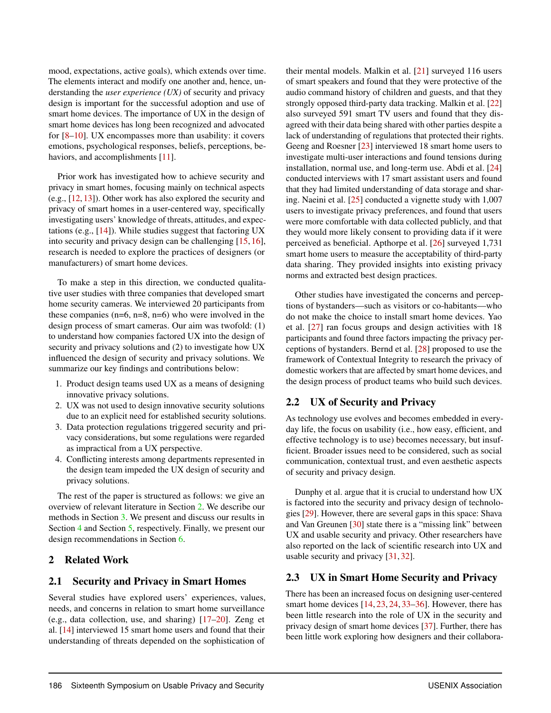mood, expectations, active goals), which extends over time. The elements interact and modify one another and, hence, understanding the *user experience (UX)* of security and privacy design is important for the successful adoption and use of smart home devices. The importance of UX in the design of smart home devices has long been recognized and advocated for [\[8](#page-13-7)[–10\]](#page-13-8). UX encompasses more than usability: it covers emotions, psychological responses, beliefs, perceptions, be-haviors, and accomplishments [\[11\]](#page-13-9).

Prior work has investigated how to achieve security and privacy in smart homes, focusing mainly on technical aspects (e.g., [\[12,](#page-13-10) [13\]](#page-13-11)). Other work has also explored the security and privacy of smart homes in a user-centered way, specifically investigating users' knowledge of threats, attitudes, and expectations (e.g., [\[14\]](#page-13-12)). While studies suggest that factoring UX into security and privacy design can be challenging [\[15,](#page-13-13) [16\]](#page-13-14), research is needed to explore the practices of designers (or manufacturers) of smart home devices.

To make a step in this direction, we conducted qualitative user studies with three companies that developed smart home security cameras. We interviewed 20 participants from these companies  $(n=6, n=8, n=6)$  who were involved in the design process of smart cameras. Our aim was twofold: (1) to understand how companies factored UX into the design of security and privacy solutions and (2) to investigate how UX influenced the design of security and privacy solutions. We summarize our key findings and contributions below:

- 1. Product design teams used UX as a means of designing innovative privacy solutions.
- 2. UX was not used to design innovative security solutions due to an explicit need for established security solutions.
- 3. Data protection regulations triggered security and privacy considerations, but some regulations were regarded as impractical from a UX perspective.
- 4. Conflicting interests among departments represented in the design team impeded the UX design of security and privacy solutions.

The rest of the paper is structured as follows: we give an overview of relevant literature in Section [2.](#page-2-0) We describe our methods in Section [3.](#page-3-0) We present and discuss our results in Section [4](#page-5-0) and Section [5,](#page-11-0) respectively. Finally, we present our design recommendations in Section [6.](#page-12-0)

#### <span id="page-2-0"></span>2 Related Work

# 2.1 Security and Privacy in Smart Homes

Several studies have explored users' experiences, values, needs, and concerns in relation to smart home surveillance (e.g., data collection, use, and sharing) [\[17](#page-13-15)[–20\]](#page-14-0). Zeng et al. [\[14\]](#page-13-12) interviewed 15 smart home users and found that their understanding of threats depended on the sophistication of

their mental models. Malkin et al. [\[21\]](#page-14-1) surveyed 116 users of smart speakers and found that they were protective of the audio command history of children and guests, and that they strongly opposed third-party data tracking. Malkin et al. [\[22\]](#page-14-2) also surveyed 591 smart TV users and found that they disagreed with their data being shared with other parties despite a lack of understanding of regulations that protected their rights. Geeng and Roesner [\[23\]](#page-14-3) interviewed 18 smart home users to investigate multi-user interactions and found tensions during installation, normal use, and long-term use. Abdi et al. [\[24\]](#page-14-4) conducted interviews with 17 smart assistant users and found that they had limited understanding of data storage and sharing. Naeini et al. [\[25\]](#page-14-5) conducted a vignette study with 1,007 users to investigate privacy preferences, and found that users were more comfortable with data collected publicly, and that they would more likely consent to providing data if it were perceived as beneficial. Apthorpe et al. [\[26\]](#page-14-6) surveyed 1,731 smart home users to measure the acceptability of third-party data sharing. They provided insights into existing privacy norms and extracted best design practices.

Other studies have investigated the concerns and perceptions of bystanders—such as visitors or co-habitants—who do not make the choice to install smart home devices. Yao et al. [\[27\]](#page-14-7) ran focus groups and design activities with 18 participants and found three factors impacting the privacy perceptions of bystanders. Bernd et al. [\[28\]](#page-14-8) proposed to use the framework of Contextual Integrity to research the privacy of domestic workers that are affected by smart home devices, and the design process of product teams who build such devices.

#### 2.2 UX of Security and Privacy

As technology use evolves and becomes embedded in everyday life, the focus on usability (i.e., how easy, efficient, and effective technology is to use) becomes necessary, but insufficient. Broader issues need to be considered, such as social communication, contextual trust, and even aesthetic aspects of security and privacy design.

Dunphy et al. argue that it is crucial to understand how UX is factored into the security and privacy design of technologies [\[29\]](#page-14-9). However, there are several gaps in this space: Shava and Van Greunen [\[30\]](#page-14-10) state there is a "missing link" between UX and usable security and privacy. Other researchers have also reported on the lack of scientific research into UX and usable security and privacy [\[31,](#page-14-11) [32\]](#page-14-12).

# 2.3 UX in Smart Home Security and Privacy

There has been an increased focus on designing user-centered smart home devices [\[14,](#page-13-12) [23,](#page-14-3) [24,](#page-14-4) [33–](#page-14-13)[36\]](#page-14-14). However, there has been little research into the role of UX in the security and privacy design of smart home devices [\[37\]](#page-14-15). Further, there has been little work exploring how designers and their collabora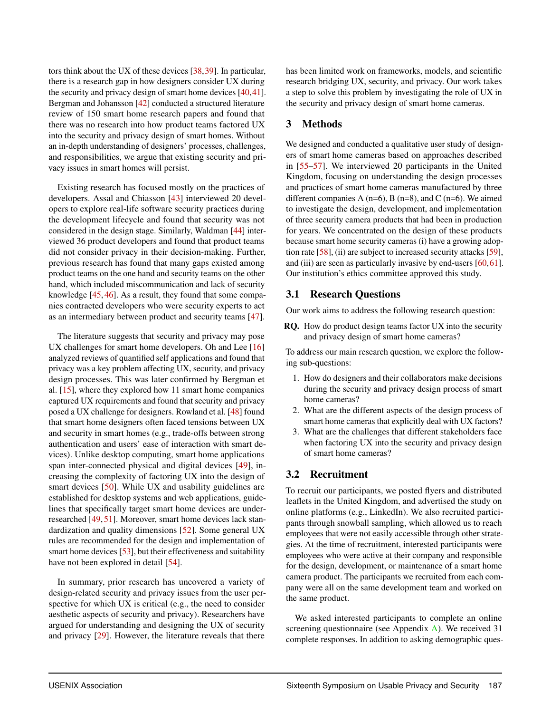tors think about the UX of these devices [\[38,](#page-14-16)[39\]](#page-14-17). In particular, there is a research gap in how designers consider UX during the security and privacy design of smart home devices [\[40](#page-15-0)[,41\]](#page-15-1). Bergman and Johansson [\[42\]](#page-15-2) conducted a structured literature review of 150 smart home research papers and found that there was no research into how product teams factored UX into the security and privacy design of smart homes. Without an in-depth understanding of designers' processes, challenges, and responsibilities, we argue that existing security and privacy issues in smart homes will persist.

Existing research has focused mostly on the practices of developers. Assal and Chiasson [\[43\]](#page-15-3) interviewed 20 developers to explore real-life software security practices during the development lifecycle and found that security was not considered in the design stage. Similarly, Waldman [\[44\]](#page-15-4) interviewed 36 product developers and found that product teams did not consider privacy in their decision-making. Further, previous research has found that many gaps existed among product teams on the one hand and security teams on the other hand, which included miscommunication and lack of security knowledge [\[45,](#page-15-5) [46\]](#page-15-6). As a result, they found that some companies contracted developers who were security experts to act as an intermediary between product and security teams [\[47\]](#page-15-7).

The literature suggests that security and privacy may pose UX challenges for smart home developers. Oh and Lee [\[16\]](#page-13-14) analyzed reviews of quantified self applications and found that privacy was a key problem affecting UX, security, and privacy design processes. This was later confirmed by Bergman et al. [\[15\]](#page-13-13), where they explored how 11 smart home companies captured UX requirements and found that security and privacy posed a UX challenge for designers. Rowland et al. [\[48\]](#page-15-8) found that smart home designers often faced tensions between UX and security in smart homes (e.g., trade-offs between strong authentication and users' ease of interaction with smart devices). Unlike desktop computing, smart home applications span inter-connected physical and digital devices [\[49\]](#page-15-9), increasing the complexity of factoring UX into the design of smart devices [\[50\]](#page-15-10). While UX and usability guidelines are established for desktop systems and web applications, guidelines that specifically target smart home devices are underresearched [\[49,](#page-15-9) [51\]](#page-15-11). Moreover, smart home devices lack standardization and quality dimensions [\[52\]](#page-15-12). Some general UX rules are recommended for the design and implementation of smart home devices [\[53\]](#page-15-13), but their effectiveness and suitability have not been explored in detail [\[54\]](#page-15-14).

In summary, prior research has uncovered a variety of design-related security and privacy issues from the user perspective for which UX is critical (e.g., the need to consider aesthetic aspects of security and privacy). Researchers have argued for understanding and designing the UX of security and privacy [\[29\]](#page-14-9). However, the literature reveals that there

has been limited work on frameworks, models, and scientific research bridging UX, security, and privacy. Our work takes a step to solve this problem by investigating the role of UX in the security and privacy design of smart home cameras.

# <span id="page-3-0"></span>3 Methods

We designed and conducted a qualitative user study of designers of smart home cameras based on approaches described in [\[55](#page-15-15)[–57\]](#page-15-16). We interviewed 20 participants in the United Kingdom, focusing on understanding the design processes and practices of smart home cameras manufactured by three different companies A ( $n=6$ ), B ( $n=8$ ), and C ( $n=6$ ). We aimed to investigate the design, development, and implementation of three security camera products that had been in production for years. We concentrated on the design of these products because smart home security cameras (i) have a growing adoption rate [\[58\]](#page-15-17), (ii) are subject to increased security attacks [\[59\]](#page-15-18), and (iii) are seen as particularly invasive by end-users [\[60,](#page-15-19)[61\]](#page-15-20). Our institution's ethics committee approved this study.

#### 3.1 Research Questions

Our work aims to address the following research question:

RQ. How do product design teams factor UX into the security and privacy design of smart home cameras?

To address our main research question, we explore the following sub-questions:

- 1. How do designers and their collaborators make decisions during the security and privacy design process of smart home cameras?
- 2. What are the different aspects of the design process of smart home cameras that explicitly deal with UX factors?
- 3. What are the challenges that different stakeholders face when factoring UX into the security and privacy design of smart home cameras?

#### 3.2 Recruitment

To recruit our participants, we posted flyers and distributed leaflets in the United Kingdom, and advertised the study on online platforms (e.g., LinkedIn). We also recruited participants through snowball sampling, which allowed us to reach employees that were not easily accessible through other strategies. At the time of recruitment, interested participants were employees who were active at their company and responsible for the design, development, or maintenance of a smart home camera product. The participants we recruited from each company were all on the same development team and worked on the same product.

We asked interested participants to complete an online screening questionnaire (see Appendix  $\overline{A}$ ). We received 31 complete responses. In addition to asking demographic ques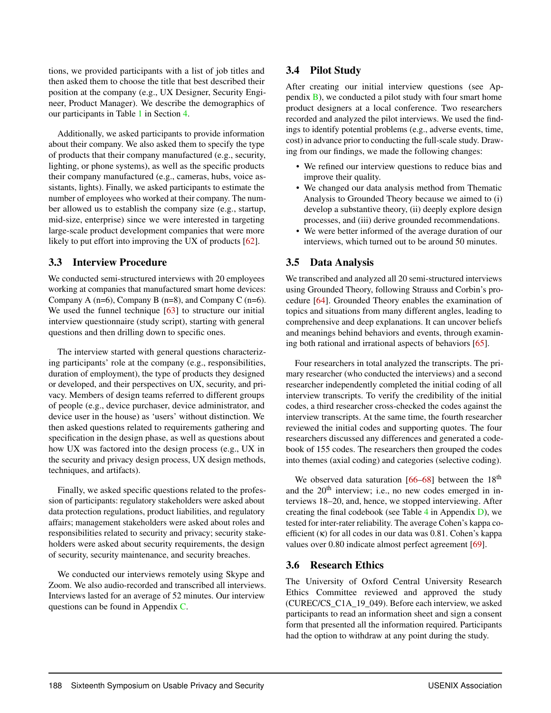tions, we provided participants with a list of job titles and then asked them to choose the title that best described their position at the company (e.g., UX Designer, Security Engineer, Product Manager). We describe the demographics of our participants in Table [1](#page-5-1) in Section [4.](#page-5-0)

Additionally, we asked participants to provide information about their company. We also asked them to specify the type of products that their company manufactured (e.g., security, lighting, or phone systems), as well as the specific products their company manufactured (e.g., cameras, hubs, voice assistants, lights). Finally, we asked participants to estimate the number of employees who worked at their company. The number allowed us to establish the company size (e.g., startup, mid-size, enterprise) since we were interested in targeting large-scale product development companies that were more likely to put effort into improving the UX of products [\[62\]](#page-15-21).

# 3.3 Interview Procedure

We conducted semi-structured interviews with 20 employees working at companies that manufactured smart home devices: Company A ( $n=6$ ), Company B ( $n=8$ ), and Company C ( $n=6$ ). We used the funnel technique [\[63\]](#page-16-0) to structure our initial interview questionnaire (study script), starting with general questions and then drilling down to specific ones.

The interview started with general questions characterizing participants' role at the company (e.g., responsibilities, duration of employment), the type of products they designed or developed, and their perspectives on UX, security, and privacy. Members of design teams referred to different groups of people (e.g., device purchaser, device administrator, and device user in the house) as 'users' without distinction. We then asked questions related to requirements gathering and specification in the design phase, as well as questions about how UX was factored into the design process (e.g., UX in the security and privacy design process, UX design methods, techniques, and artifacts).

Finally, we asked specific questions related to the profession of participants: regulatory stakeholders were asked about data protection regulations, product liabilities, and regulatory affairs; management stakeholders were asked about roles and responsibilities related to security and privacy; security stakeholders were asked about security requirements, the design of security, security maintenance, and security breaches.

We conducted our interviews remotely using Skype and Zoom. We also audio-recorded and transcribed all interviews. Interviews lasted for an average of 52 minutes. Our interview questions can be found in Appendix [C.](#page-17-1)

# 3.4 Pilot Study

After creating our initial interview questions (see Appendix [B\)](#page-17-2), we conducted a pilot study with four smart home product designers at a local conference. Two researchers recorded and analyzed the pilot interviews. We used the findings to identify potential problems (e.g., adverse events, time, cost) in advance prior to conducting the full-scale study. Drawing from our findings, we made the following changes:

- We refined our interview questions to reduce bias and improve their quality.
- We changed our data analysis method from Thematic Analysis to Grounded Theory because we aimed to (i) develop a substantive theory, (ii) deeply explore design processes, and (iii) derive grounded recommendations.
- We were better informed of the average duration of our interviews, which turned out to be around 50 minutes.

# 3.5 Data Analysis

We transcribed and analyzed all 20 semi-structured interviews using Grounded Theory, following Strauss and Corbin's procedure [\[64\]](#page-16-1). Grounded Theory enables the examination of topics and situations from many different angles, leading to comprehensive and deep explanations. It can uncover beliefs and meanings behind behaviors and events, through examining both rational and irrational aspects of behaviors [\[65\]](#page-16-2).

Four researchers in total analyzed the transcripts. The primary researcher (who conducted the interviews) and a second researcher independently completed the initial coding of all interview transcripts. To verify the credibility of the initial codes, a third researcher cross-checked the codes against the interview transcripts. At the same time, the fourth researcher reviewed the initial codes and supporting quotes. The four researchers discussed any differences and generated a codebook of 155 codes. The researchers then grouped the codes into themes (axial coding) and categories (selective coding).

We observed data saturation  $[66-68]$  $[66-68]$  between the  $18<sup>th</sup>$ and the  $20<sup>th</sup>$  interview; i.e., no new codes emerged in interviews 18–20, and, hence, we stopped interviewing. After creating the final codebook (see Table  $4$  in Appendix [D\)](#page-20-1), we tested for inter-rater reliability. The average Cohen's kappa coefficient (κ) for all codes in our data was 0.81. Cohen's kappa values over 0.80 indicate almost perfect agreement [\[69\]](#page-16-5).

# 3.6 Research Ethics

The University of Oxford Central University Research Ethics Committee reviewed and approved the study (CUREC/CS\_C1A\_19\_049). Before each interview, we asked participants to read an information sheet and sign a consent form that presented all the information required. Participants had the option to withdraw at any point during the study.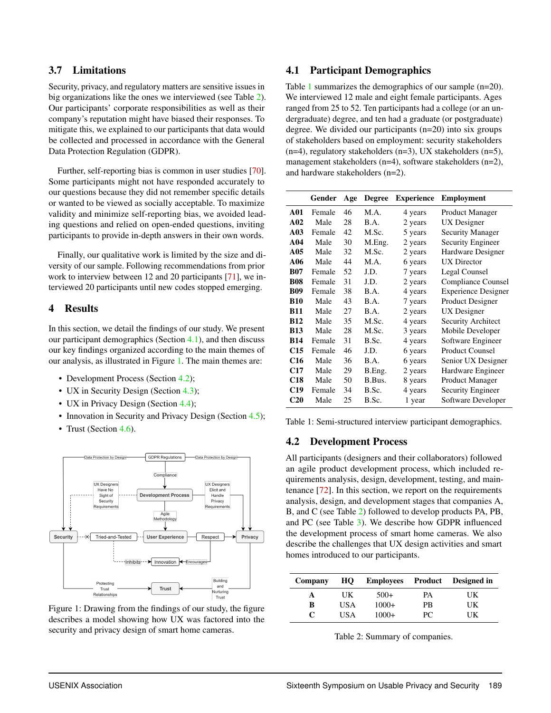#### 3.7 Limitations

Security, privacy, and regulatory matters are sensitive issues in big organizations like the ones we interviewed (see Table [2\)](#page-5-2). Our participants' corporate responsibilities as well as their company's reputation might have biased their responses. To mitigate this, we explained to our participants that data would be collected and processed in accordance with the General Data Protection Regulation (GDPR).

Further, self-reporting bias is common in user studies [\[70\]](#page-16-6). Some participants might not have responded accurately to our questions because they did not remember specific details or wanted to be viewed as socially acceptable. To maximize validity and minimize self-reporting bias, we avoided leading questions and relied on open-ended questions, inviting participants to provide in-depth answers in their own words.

Finally, our qualitative work is limited by the size and diversity of our sample. Following recommendations from prior work to interview between 12 and 20 participants [\[71\]](#page-16-7), we interviewed 20 participants until new codes stopped emerging.

#### <span id="page-5-0"></span>4 Results

In this section, we detail the findings of our study. We present our participant demographics (Section [4.1\)](#page-5-3), and then discuss our key findings organized according to the main themes of our analysis, as illustrated in Figure [1.](#page-5-4) The main themes are:

- Development Process (Section [4.2\)](#page-5-5);
- UX in Security Design (Section [4.3\)](#page-7-0);
- UX in Privacy Design (Section [4.4\)](#page-8-0);
- Innovation in Security and Privacy Design (Section [4.5\)](#page-9-0);
- Trust (Section [4.6\)](#page-10-0).

<span id="page-5-4"></span>

<span id="page-5-3"></span>Figure 1: Drawing from the findings of our study, the figure describes a model showing how UX was factored into the security and privacy design of smart home cameras.

# 4.1 Participant Demographics

Table [1](#page-5-1) summarizes the demographics of our sample (n=20). We interviewed 12 male and eight female participants. Ages ranged from 25 to 52. Ten participants had a college (or an undergraduate) degree, and ten had a graduate (or postgraduate) degree. We divided our participants (n=20) into six groups of stakeholders based on employment: security stakeholders  $(n=4)$ , regulatory stakeholders  $(n=3)$ , UX stakeholders  $(n=5)$ , management stakeholders (n=4), software stakeholders (n=2), and hardware stakeholders (n=2).

<span id="page-5-1"></span>

|                 | Gender | Age | <b>Degree</b> | <b>Experience</b> | <b>Employment</b>          |
|-----------------|--------|-----|---------------|-------------------|----------------------------|
| A01             | Female | 46  | M.A.          | 4 years           | <b>Product Manager</b>     |
| A <sub>02</sub> | Male   | 28  | B.A.          | 2 years           | UX Designer                |
| A <sub>03</sub> | Female | 42  | M.Sc.         | 5 years           | <b>Security Manager</b>    |
| A <sub>04</sub> | Male   | 30  | M.Eng.        | 2 years           | Security Engineer          |
| A05             | Male   | 32  | M.Sc.         | 2 years           | Hardware Designer          |
| A <sub>06</sub> | Male   | 44  | M.A.          | 6 years           | <b>UX</b> Director         |
| <b>B07</b>      | Female | 52  | J.D.          | 7 years           | Legal Counsel              |
| <b>B08</b>      | Female | 31  | J.D.          | 2 years           | Compliance Counsel         |
| <b>B09</b>      | Female | 38  | B.A.          | 4 years           | <b>Experience Designer</b> |
| <b>B10</b>      | Male   | 43  | B.A.          | 7 years           | <b>Product Designer</b>    |
| <b>B11</b>      | Male   | 27  | B.A.          | 2 years           | <b>UX</b> Designer         |
| <b>B12</b>      | Male   | 35  | M.Sc.         | 4 years           | Security Architect         |
| <b>B13</b>      | Male   | 28  | M.Sc.         | 3 years           | Mobile Developer           |
| <b>B14</b>      | Female | 31  | B.Sc.         | 4 years           | Software Engineer          |
| C15             | Female | 46  | J.D.          | 6 years           | <b>Product Counsel</b>     |
| C <sub>16</sub> | Male   | 36  | B.A.          | 6 years           | Senior UX Designer         |
| C17             | Male   | 29  | B.Eng.        | 2 years           | Hardware Engineer          |
| <b>C18</b>      | Male   | 50  | B.Bus.        | 8 years           | <b>Product Manager</b>     |
| C <sub>19</sub> | Female | 34  | B.Sc.         | 4 years           | <b>Security Engineer</b>   |
| <b>C20</b>      | Male   | 25  | B.Sc.         | 1 year            | Software Developer         |

<span id="page-5-5"></span>Table 1: Semi-structured interview participant demographics.

#### 4.2 Development Process

All participants (designers and their collaborators) followed an agile product development process, which included requirements analysis, design, development, testing, and maintenance [\[72\]](#page-16-8). In this section, we report on the requirements analysis, design, and development stages that companies A, B, and C (see Table [2\)](#page-5-2) followed to develop products PA, PB, and PC (see Table [3\)](#page-6-0). We describe how GDPR influenced the development process of smart home cameras. We also describe the challenges that UX design activities and smart homes introduced to our participants.

<span id="page-5-2"></span>

| Company | HO  |         |           | Employees Product Designed in |
|---------|-----|---------|-----------|-------------------------------|
| А       | UK  | $500+$  | PА        | UK                            |
| в       | USA | $1000+$ | <b>PR</b> | UK                            |
| C       | USA | $1000+$ | PC.       | UK                            |

| Table 2: Summary of companies. |  |
|--------------------------------|--|
|--------------------------------|--|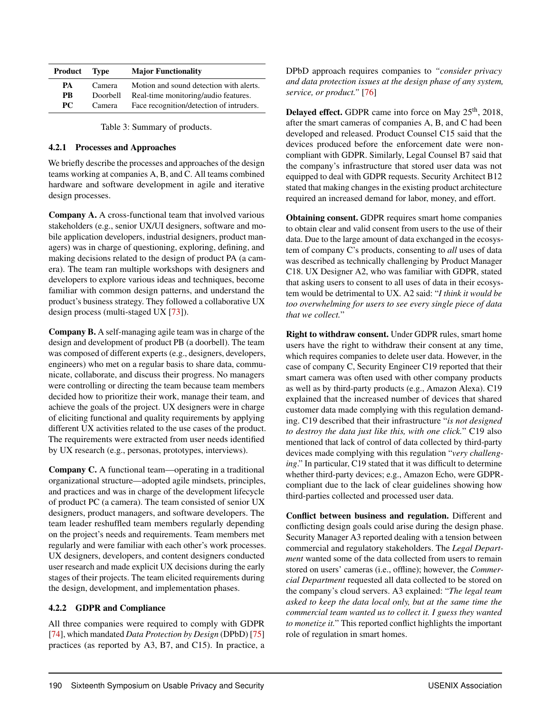<span id="page-6-0"></span>

| Product   | <b>Type</b> | <b>Major Functionality</b>               |
|-----------|-------------|------------------------------------------|
| PA.       | Camera      | Motion and sound detection with alerts.  |
| <b>PR</b> | Doorbell    | Real-time monitoring/audio features.     |
| <b>PC</b> | Camera      | Face recognition/detection of intruders. |

Table 3: Summary of products.

#### 4.2.1 Processes and Approaches

We briefly describe the processes and approaches of the design teams working at companies A, B, and C. All teams combined hardware and software development in agile and iterative design processes.

Company A. A cross-functional team that involved various stakeholders (e.g., senior UX/UI designers, software and mobile application developers, industrial designers, product managers) was in charge of questioning, exploring, defining, and making decisions related to the design of product PA (a camera). The team ran multiple workshops with designers and developers to explore various ideas and techniques, become familiar with common design patterns, and understand the product's business strategy. They followed a collaborative UX design process (multi-staged UX [\[73\]](#page-16-9)).

Company B. A self-managing agile team was in charge of the design and development of product PB (a doorbell). The team was composed of different experts (e.g., designers, developers, engineers) who met on a regular basis to share data, communicate, collaborate, and discuss their progress. No managers were controlling or directing the team because team members decided how to prioritize their work, manage their team, and achieve the goals of the project. UX designers were in charge of eliciting functional and quality requirements by applying different UX activities related to the use cases of the product. The requirements were extracted from user needs identified by UX research (e.g., personas, prototypes, interviews).

Company C. A functional team—operating in a traditional organizational structure—adopted agile mindsets, principles, and practices and was in charge of the development lifecycle of product PC (a camera). The team consisted of senior UX designers, product managers, and software developers. The team leader reshuffled team members regularly depending on the project's needs and requirements. Team members met regularly and were familiar with each other's work processes. UX designers, developers, and content designers conducted user research and made explicit UX decisions during the early stages of their projects. The team elicited requirements during the design, development, and implementation phases.

#### 4.2.2 GDPR and Compliance

All three companies were required to comply with GDPR [\[74\]](#page-16-10), which mandated *Data Protection by Design* (DPbD) [\[75\]](#page-16-11) practices (as reported by A3, B7, and C15). In practice, a DPbD approach requires companies to *"consider privacy and data protection issues at the design phase of any system, service, or product."* [\[76\]](#page-16-12)

**Delayed effect.** GDPR came into force on May  $25<sup>th</sup>$ , 2018, after the smart cameras of companies A, B, and C had been developed and released. Product Counsel C15 said that the devices produced before the enforcement date were noncompliant with GDPR. Similarly, Legal Counsel B7 said that the company's infrastructure that stored user data was not equipped to deal with GDPR requests. Security Architect B12 stated that making changes in the existing product architecture required an increased demand for labor, money, and effort.

Obtaining consent. GDPR requires smart home companies to obtain clear and valid consent from users to the use of their data. Due to the large amount of data exchanged in the ecosystem of company C's products, consenting to *all* uses of data was described as technically challenging by Product Manager C18. UX Designer A2, who was familiar with GDPR, stated that asking users to consent to all uses of data in their ecosystem would be detrimental to UX. A2 said: "*I think it would be too overwhelming for users to see every single piece of data that we collect.*"

Right to withdraw consent. Under GDPR rules, smart home users have the right to withdraw their consent at any time, which requires companies to delete user data. However, in the case of company C, Security Engineer C19 reported that their smart camera was often used with other company products as well as by third-party products (e.g., Amazon Alexa). C19 explained that the increased number of devices that shared customer data made complying with this regulation demanding. C19 described that their infrastructure "*is not designed to destroy the data just like this, with one click.*" C19 also mentioned that lack of control of data collected by third-party devices made complying with this regulation "*very challenging*." In particular, C19 stated that it was difficult to determine whether third-party devices; e.g., Amazon Echo, were GDPRcompliant due to the lack of clear guidelines showing how third-parties collected and processed user data.

Conflict between business and regulation. Different and conflicting design goals could arise during the design phase. Security Manager A3 reported dealing with a tension between commercial and regulatory stakeholders. The *Legal Department* wanted some of the data collected from users to remain stored on users' cameras (i.e., offline); however, the *Commercial Department* requested all data collected to be stored on the company's cloud servers. A3 explained: "*The legal team asked to keep the data local only, but at the same time the commercial team wanted us to collect it. I guess they wanted to monetize it.*" This reported conflict highlights the important role of regulation in smart homes.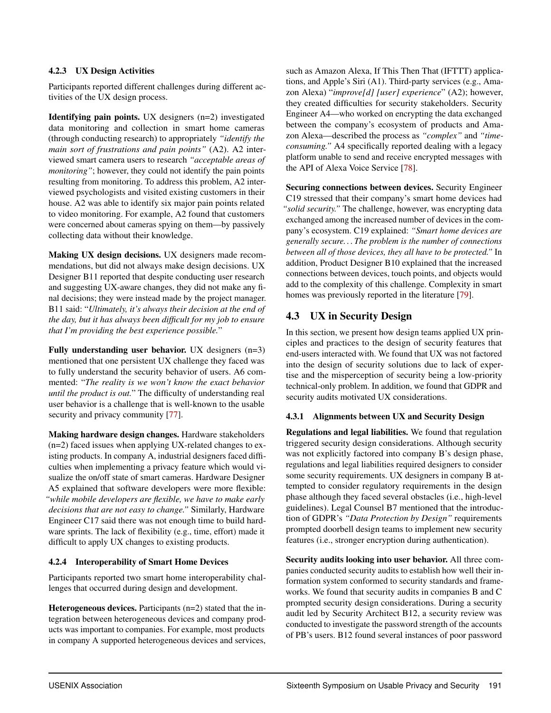#### 4.2.3 UX Design Activities

Participants reported different challenges during different activities of the UX design process.

Identifying pain points. UX designers (n=2) investigated data monitoring and collection in smart home cameras (through conducting research) to appropriately *"identify the main sort of frustrations and pain points"* (A2). A2 interviewed smart camera users to research *"acceptable areas of monitoring*"; however, they could not identify the pain points resulting from monitoring. To address this problem, A2 interviewed psychologists and visited existing customers in their house. A2 was able to identify six major pain points related to video monitoring. For example, A2 found that customers were concerned about cameras spying on them—by passively collecting data without their knowledge.

Making UX design decisions. UX designers made recommendations, but did not always make design decisions. UX Designer B11 reported that despite conducting user research and suggesting UX-aware changes, they did not make any final decisions; they were instead made by the project manager. B11 said: "*Ultimately, it's always their decision at the end of the day, but it has always been difficult for my job to ensure that I'm providing the best experience possible.*"

Fully understanding user behavior. UX designers (n=3) mentioned that one persistent UX challenge they faced was to fully understand the security behavior of users. A6 commented: "*The reality is we won't know the exact behavior until the product is out.*" The difficulty of understanding real user behavior is a challenge that is well-known to the usable security and privacy community [\[77\]](#page-16-13).

Making hardware design changes. Hardware stakeholders (n=2) faced issues when applying UX-related changes to existing products. In company A, industrial designers faced difficulties when implementing a privacy feature which would visualize the on/off state of smart cameras. Hardware Designer A5 explained that software developers were more flexible: *"while mobile developers are flexible, we have to make early decisions that are not easy to change."* Similarly, Hardware Engineer C17 said there was not enough time to build hardware sprints. The lack of flexibility (e.g., time, effort) made it difficult to apply UX changes to existing products.

#### 4.2.4 Interoperability of Smart Home Devices

Participants reported two smart home interoperability challenges that occurred during design and development.

Heterogeneous devices. Participants (n=2) stated that the integration between heterogeneous devices and company products was important to companies. For example, most products in company A supported heterogeneous devices and services, such as Amazon Alexa, If This Then That (IFTTT) applications, and Apple's Siri (A1). Third-party services (e.g., Amazon Alexa) "*improve[d] [user] experience*" (A2); however, they created difficulties for security stakeholders. Security Engineer A4—who worked on encrypting the data exchanged between the company's ecosystem of products and Amazon Alexa—described the process as *"complex"* and *"timeconsuming."* A4 specifically reported dealing with a legacy platform unable to send and receive encrypted messages with the API of Alexa Voice Service [\[78\]](#page-16-14).

Securing connections between devices. Security Engineer C19 stressed that their company's smart home devices had *"solid security."* The challenge, however, was encrypting data exchanged among the increased number of devices in the company's ecosystem. C19 explained: *"Smart home devices are generally secure. . . The problem is the number of connections between all of those devices, they all have to be protected."* In addition, Product Designer B10 explained that the increased connections between devices, touch points, and objects would add to the complexity of this challenge. Complexity in smart homes was previously reported in the literature [\[79\]](#page-16-15).

# <span id="page-7-0"></span>4.3 UX in Security Design

In this section, we present how design teams applied UX principles and practices to the design of security features that end-users interacted with. We found that UX was not factored into the design of security solutions due to lack of expertise and the misperception of security being a low-priority technical-only problem. In addition, we found that GDPR and security audits motivated UX considerations.

#### 4.3.1 Alignments between UX and Security Design

Regulations and legal liabilities. We found that regulation triggered security design considerations. Although security was not explicitly factored into company B's design phase, regulations and legal liabilities required designers to consider some security requirements. UX designers in company B attempted to consider regulatory requirements in the design phase although they faced several obstacles (i.e., high-level guidelines). Legal Counsel B7 mentioned that the introduction of GDPR's *"Data Protection by Design"* requirements prompted doorbell design teams to implement new security features (i.e., stronger encryption during authentication).

Security audits looking into user behavior. All three companies conducted security audits to establish how well their information system conformed to security standards and frameworks. We found that security audits in companies B and C prompted security design considerations. During a security audit led by Security Architect B12, a security review was conducted to investigate the password strength of the accounts of PB's users. B12 found several instances of poor password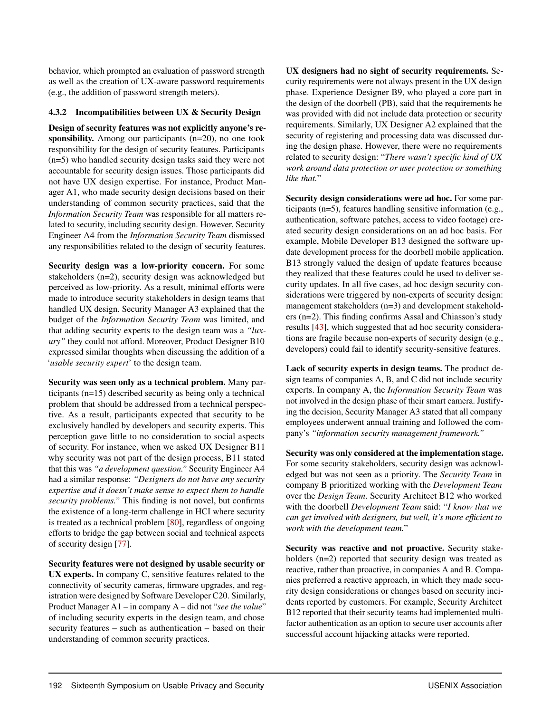behavior, which prompted an evaluation of password strength as well as the creation of UX-aware password requirements (e.g., the addition of password strength meters).

#### 4.3.2 Incompatibilities between UX & Security Design

Design of security features was not explicitly anyone's responsibility. Among our participants (n=20), no one took responsibility for the design of security features. Participants (n=5) who handled security design tasks said they were not accountable for security design issues. Those participants did not have UX design expertise. For instance, Product Manager A1, who made security design decisions based on their understanding of common security practices, said that the *Information Security Team* was responsible for all matters related to security, including security design. However, Security Engineer A4 from the *Information Security Team* dismissed any responsibilities related to the design of security features.

Security design was a low-priority concern. For some stakeholders (n=2), security design was acknowledged but perceived as low-priority. As a result, minimal efforts were made to introduce security stakeholders in design teams that handled UX design. Security Manager A3 explained that the budget of the *Information Security Team* was limited, and that adding security experts to the design team was a *"luxury"* they could not afford. Moreover, Product Designer B10 expressed similar thoughts when discussing the addition of a '*usable security expert*' to the design team.

Security was seen only as a technical problem. Many participants (n=15) described security as being only a technical problem that should be addressed from a technical perspective. As a result, participants expected that security to be exclusively handled by developers and security experts. This perception gave little to no consideration to social aspects of security. For instance, when we asked UX Designer B11 why security was not part of the design process, B11 stated that this was *"a development question."* Security Engineer A4 had a similar response: *"Designers do not have any security expertise and it doesn't make sense to expect them to handle security problems."* This finding is not novel, but confirms the existence of a long-term challenge in HCI where security is treated as a technical problem [\[80\]](#page-16-16), regardless of ongoing efforts to bridge the gap between social and technical aspects of security design [\[77\]](#page-16-13).

Security features were not designed by usable security or UX experts. In company C, sensitive features related to the connectivity of security cameras, firmware upgrades, and registration were designed by Software Developer C20. Similarly, Product Manager A1 – in company A – did not "*see the value*" of including security experts in the design team, and chose security features – such as authentication – based on their understanding of common security practices.

UX designers had no sight of security requirements. Security requirements were not always present in the UX design phase. Experience Designer B9, who played a core part in the design of the doorbell (PB), said that the requirements he was provided with did not include data protection or security requirements. Similarly, UX Designer A2 explained that the security of registering and processing data was discussed during the design phase. However, there were no requirements related to security design: "*There wasn't specific kind of UX work around data protection or user protection or something like that.*"

Security design considerations were ad hoc. For some participants (n=5), features handling sensitive information (e.g., authentication, software patches, access to video footage) created security design considerations on an ad hoc basis. For example, Mobile Developer B13 designed the software update development process for the doorbell mobile application. B13 strongly valued the design of update features because they realized that these features could be used to deliver security updates. In all five cases, ad hoc design security considerations were triggered by non-experts of security design: management stakeholders (n=3) and development stakeholders (n=2). This finding confirms Assal and Chiasson's study results [\[43\]](#page-15-3), which suggested that ad hoc security considerations are fragile because non-experts of security design (e.g., developers) could fail to identify security-sensitive features.

Lack of security experts in design teams. The product design teams of companies A, B, and C did not include security experts. In company A, the *Information Security Team* was not involved in the design phase of their smart camera. Justifying the decision, Security Manager A3 stated that all company employees underwent annual training and followed the company's *"information security management framework."*

Security was only considered at the implementation stage. For some security stakeholders, security design was acknowledged but was not seen as a priority. The *Security Team* in company B prioritized working with the *Development Team* over the *Design Team*. Security Architect B12 who worked with the doorbell *Development Team* said: "*I know that we can get involved with designers, but well, it's more efficient to work with the development team.*"

<span id="page-8-0"></span>Security was reactive and not proactive. Security stakeholders (n=2) reported that security design was treated as reactive, rather than proactive, in companies A and B. Companies preferred a reactive approach, in which they made security design considerations or changes based on security incidents reported by customers. For example, Security Architect B12 reported that their security teams had implemented multifactor authentication as an option to secure user accounts after successful account hijacking attacks were reported.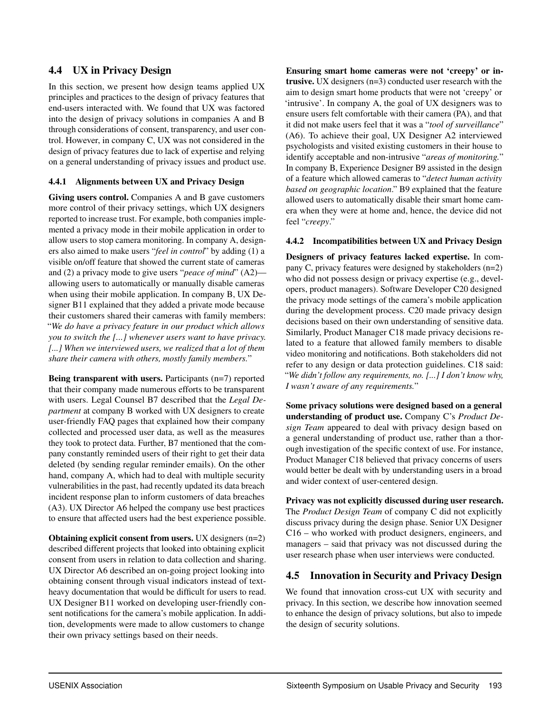# 4.4 UX in Privacy Design

In this section, we present how design teams applied UX principles and practices to the design of privacy features that end-users interacted with. We found that UX was factored into the design of privacy solutions in companies A and B through considerations of consent, transparency, and user control. However, in company C, UX was not considered in the design of privacy features due to lack of expertise and relying on a general understanding of privacy issues and product use.

#### 4.4.1 Alignments between UX and Privacy Design

Giving users control. Companies A and B gave customers more control of their privacy settings, which UX designers reported to increase trust. For example, both companies implemented a privacy mode in their mobile application in order to allow users to stop camera monitoring. In company A, designers also aimed to make users "*feel in control*" by adding (1) a visible on/off feature that showed the current state of cameras and (2) a privacy mode to give users "*peace of mind*" (A2) allowing users to automatically or manually disable cameras when using their mobile application. In company B, UX Designer B11 explained that they added a private mode because their customers shared their cameras with family members: "*We do have a privacy feature in our product which allows you to switch the [...] whenever users want to have privacy. [...] When we interviewed users, we realized that a lot of them share their camera with others, mostly family members.*"

Being transparent with users. Participants (n=7) reported that their company made numerous efforts to be transparent with users. Legal Counsel B7 described that the *Legal Department* at company B worked with UX designers to create user-friendly FAQ pages that explained how their company collected and processed user data, as well as the measures they took to protect data. Further, B7 mentioned that the company constantly reminded users of their right to get their data deleted (by sending regular reminder emails). On the other hand, company A, which had to deal with multiple security vulnerabilities in the past, had recently updated its data breach incident response plan to inform customers of data breaches (A3). UX Director A6 helped the company use best practices to ensure that affected users had the best experience possible.

Obtaining explicit consent from users. UX designers (n=2) described different projects that looked into obtaining explicit consent from users in relation to data collection and sharing. UX Director A6 described an on-going project looking into obtaining consent through visual indicators instead of textheavy documentation that would be difficult for users to read. UX Designer B11 worked on developing user-friendly consent notifications for the camera's mobile application. In addition, developments were made to allow customers to change their own privacy settings based on their needs.

Ensuring smart home cameras were not 'creepy' or intrusive. UX designers (n=3) conducted user research with the aim to design smart home products that were not 'creepy' or 'intrusive'. In company A, the goal of UX designers was to ensure users felt comfortable with their camera (PA), and that it did not make users feel that it was a "*tool of surveillance*" (A6). To achieve their goal, UX Designer A2 interviewed psychologists and visited existing customers in their house to identify acceptable and non-intrusive "*areas of monitoring.*" In company B, Experience Designer B9 assisted in the design of a feature which allowed cameras to "*detect human activity based on geographic location*." B9 explained that the feature allowed users to automatically disable their smart home camera when they were at home and, hence, the device did not feel "*creepy*."

#### 4.4.2 Incompatibilities between UX and Privacy Design

Designers of privacy features lacked expertise. In company C, privacy features were designed by stakeholders (n=2) who did not possess design or privacy expertise (e.g., developers, product managers). Software Developer C20 designed the privacy mode settings of the camera's mobile application during the development process. C20 made privacy design decisions based on their own understanding of sensitive data. Similarly, Product Manager C18 made privacy decisions related to a feature that allowed family members to disable video monitoring and notifications. Both stakeholders did not refer to any design or data protection guidelines. C18 said: "*We didn't follow any requirements, no. [...] I don't know why, I wasn't aware of any requirements.*"

Some privacy solutions were designed based on a general understanding of product use. Company C's *Product Design Team* appeared to deal with privacy design based on a general understanding of product use, rather than a thorough investigation of the specific context of use. For instance, Product Manager C18 believed that privacy concerns of users would better be dealt with by understanding users in a broad and wider context of user-centered design.

Privacy was not explicitly discussed during user research. The *Product Design Team* of company C did not explicitly discuss privacy during the design phase. Senior UX Designer C16 – who worked with product designers, engineers, and managers – said that privacy was not discussed during the user research phase when user interviews were conducted.

# <span id="page-9-0"></span>4.5 Innovation in Security and Privacy Design

We found that innovation cross-cut UX with security and privacy. In this section, we describe how innovation seemed to enhance the design of privacy solutions, but also to impede the design of security solutions.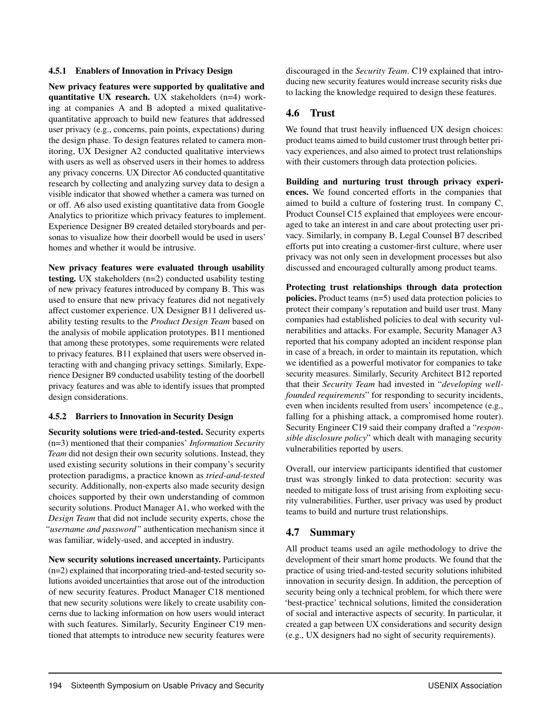#### 4.5.1 Enablers of Innovation in Privacy Design

New privacy features were supported by qualitative and quantitative UX research. UX stakeholders (n=4) working at companies A and B adopted a mixed qualitativequantitative approach to build new features that addressed user privacy (e.g., concerns, pain points, expectations) during the design phase. To design features related to camera monitoring, UX Designer A2 conducted qualitative interviews with users as well as observed users in their homes to address any privacy concerns. UX Director A6 conducted quantitative research by collecting and analyzing survey data to design a visible indicator that showed whether a camera was turned on or off. A6 also used existing quantitative data from Google Analytics to prioritize which privacy features to implement. Experience Designer B9 created detailed storyboards and personas to visualize how their doorbell would be used in users' homes and whether it would be intrusive.

New privacy features were evaluated through usability testing. UX stakeholders (n=2) conducted usability testing of new privacy features introduced by company B. This was used to ensure that new privacy features did not negatively affect customer experience. UX Designer B11 delivered usability testing results to the *Product Design Team* based on the analysis of mobile application prototypes. B11 mentioned that among these prototypes, some requirements were related to privacy features. B11 explained that users were observed interacting with and changing privacy settings. Similarly, Experience Designer B9 conducted usability testing of the doorbell privacy features and was able to identify issues that prompted design considerations.

#### 4.5.2 Barriers to Innovation in Security Design

Security solutions were tried-and-tested. Security experts (n=3) mentioned that their companies' *Information Security Team* did not design their own security solutions. Instead, they used existing security solutions in their company's security protection paradigms, a practice known as *tried-and-tested* security. Additionally, non-experts also made security design choices supported by their own understanding of common security solutions. Product Manager A1, who worked with the *Design Team* that did not include security experts, chose the *"username and password"* authentication mechanism since it was familiar, widely-used, and accepted in industry.

New security solutions increased uncertainty. Participants (n=2) explained that incorporating tried-and-tested security solutions avoided uncertainties that arose out of the introduction of new security features. Product Manager C18 mentioned that new security solutions were likely to create usability concerns due to lacking information on how users would interact with such features. Similarly, Security Engineer C19 mentioned that attempts to introduce new security features were

discouraged in the *Security Team*. C19 explained that introducing new security features would increase security risks due to lacking the knowledge required to design these features.

# <span id="page-10-0"></span>4.6 Trust

We found that trust heavily influenced UX design choices: product teams aimed to build customer trust through better privacy experiences, and also aimed to protect trust relationships with their customers through data protection policies.

Building and nurturing trust through privacy experiences. We found concerted efforts in the companies that aimed to build a culture of fostering trust. In company C, Product Counsel C15 explained that employees were encouraged to take an interest in and care about protecting user privacy. Similarly, in company B, Legal Counsel B7 described efforts put into creating a customer-first culture, where user privacy was not only seen in development processes but also discussed and encouraged culturally among product teams.

Protecting trust relationships through data protection policies. Product teams (n=5) used data protection policies to protect their company's reputation and build user trust. Many companies had established policies to deal with security vulnerabilities and attacks. For example, Security Manager A3 reported that his company adopted an incident response plan in case of a breach, in order to maintain its reputation, which we identified as a powerful motivator for companies to take security measures. Similarly, Security Architect B12 reported that their *Security Team* had invested in "*developing wellfounded requirements*" for responding to security incidents, even when incidents resulted from users' incompetence (e.g., falling for a phishing attack, a compromised home router). Security Engineer C19 said their company drafted a "*responsible disclosure policy*" which dealt with managing security vulnerabilities reported by users.

Overall, our interview participants identified that customer trust was strongly linked to data protection: security was needed to mitigate loss of trust arising from exploiting security vulnerabilities. Further, user privacy was used by product teams to build and nurture trust relationships.

# 4.7 Summary

All product teams used an agile methodology to drive the development of their smart home products. We found that the practice of using tried-and-tested security solutions inhibited innovation in security design. In addition, the perception of security being only a technical problem, for which there were 'best-practice' technical solutions, limited the consideration of social and interactive aspects of security. In particular, it created a gap between UX considerations and security design (e.g., UX designers had no sight of security requirements).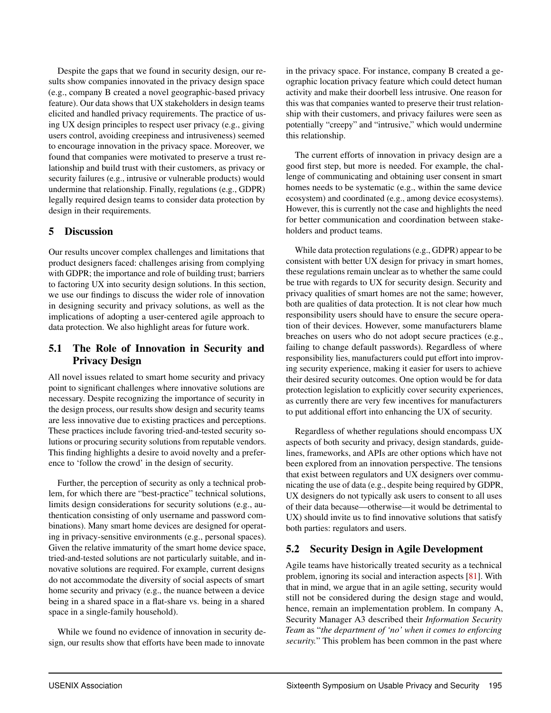Despite the gaps that we found in security design, our results show companies innovated in the privacy design space (e.g., company B created a novel geographic-based privacy feature). Our data shows that UX stakeholders in design teams elicited and handled privacy requirements. The practice of using UX design principles to respect user privacy (e.g., giving users control, avoiding creepiness and intrusiveness) seemed to encourage innovation in the privacy space. Moreover, we found that companies were motivated to preserve a trust relationship and build trust with their customers, as privacy or security failures (e.g., intrusive or vulnerable products) would undermine that relationship. Finally, regulations (e.g., GDPR) legally required design teams to consider data protection by design in their requirements.

# <span id="page-11-0"></span>5 Discussion

Our results uncover complex challenges and limitations that product designers faced: challenges arising from complying with GDPR; the importance and role of building trust; barriers to factoring UX into security design solutions. In this section, we use our findings to discuss the wider role of innovation in designing security and privacy solutions, as well as the implications of adopting a user-centered agile approach to data protection. We also highlight areas for future work.

# 5.1 The Role of Innovation in Security and Privacy Design

All novel issues related to smart home security and privacy point to significant challenges where innovative solutions are necessary. Despite recognizing the importance of security in the design process, our results show design and security teams are less innovative due to existing practices and perceptions. These practices include favoring tried-and-tested security solutions or procuring security solutions from reputable vendors. This finding highlights a desire to avoid novelty and a preference to 'follow the crowd' in the design of security.

Further, the perception of security as only a technical problem, for which there are "best-practice" technical solutions, limits design considerations for security solutions (e.g., authentication consisting of only username and password combinations). Many smart home devices are designed for operating in privacy-sensitive environments (e.g., personal spaces). Given the relative immaturity of the smart home device space, tried-and-tested solutions are not particularly suitable, and innovative solutions are required. For example, current designs do not accommodate the diversity of social aspects of smart home security and privacy (e.g., the nuance between a device being in a shared space in a flat-share vs. being in a shared space in a single-family household).

While we found no evidence of innovation in security design, our results show that efforts have been made to innovate

in the privacy space. For instance, company B created a geographic location privacy feature which could detect human activity and make their doorbell less intrusive. One reason for this was that companies wanted to preserve their trust relationship with their customers, and privacy failures were seen as potentially "creepy" and "intrusive," which would undermine this relationship.

The current efforts of innovation in privacy design are a good first step, but more is needed. For example, the challenge of communicating and obtaining user consent in smart homes needs to be systematic (e.g., within the same device ecosystem) and coordinated (e.g., among device ecosystems). However, this is currently not the case and highlights the need for better communication and coordination between stakeholders and product teams.

While data protection regulations (e.g., GDPR) appear to be consistent with better UX design for privacy in smart homes, these regulations remain unclear as to whether the same could be true with regards to UX for security design. Security and privacy qualities of smart homes are not the same; however, both are qualities of data protection. It is not clear how much responsibility users should have to ensure the secure operation of their devices. However, some manufacturers blame breaches on users who do not adopt secure practices (e.g., failing to change default passwords). Regardless of where responsibility lies, manufacturers could put effort into improving security experience, making it easier for users to achieve their desired security outcomes. One option would be for data protection legislation to explicitly cover security experiences, as currently there are very few incentives for manufacturers to put additional effort into enhancing the UX of security.

Regardless of whether regulations should encompass UX aspects of both security and privacy, design standards, guidelines, frameworks, and APIs are other options which have not been explored from an innovation perspective. The tensions that exist between regulators and UX designers over communicating the use of data (e.g., despite being required by GDPR, UX designers do not typically ask users to consent to all uses of their data because—otherwise—it would be detrimental to UX) should invite us to find innovative solutions that satisfy both parties: regulators and users.

# 5.2 Security Design in Agile Development

Agile teams have historically treated security as a technical problem, ignoring its social and interaction aspects [\[81\]](#page-16-17). With that in mind, we argue that in an agile setting, security would still not be considered during the design stage and would, hence, remain an implementation problem. In company A, Security Manager A3 described their *Information Security Team* as "*the department of 'no' when it comes to enforcing security.*" This problem has been common in the past where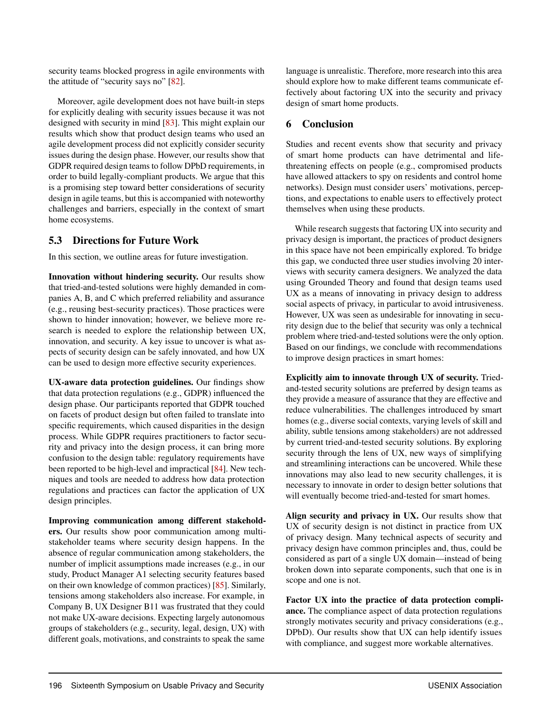security teams blocked progress in agile environments with the attitude of "security says no" [\[82\]](#page-16-18).

Moreover, agile development does not have built-in steps for explicitly dealing with security issues because it was not designed with security in mind [\[83\]](#page-16-19). This might explain our results which show that product design teams who used an agile development process did not explicitly consider security issues during the design phase. However, our results show that GDPR required design teams to follow DPbD requirements, in order to build legally-compliant products. We argue that this is a promising step toward better considerations of security design in agile teams, but this is accompanied with noteworthy challenges and barriers, especially in the context of smart home ecosystems.

#### 5.3 Directions for Future Work

In this section, we outline areas for future investigation.

Innovation without hindering security. Our results show that tried-and-tested solutions were highly demanded in companies A, B, and C which preferred reliability and assurance (e.g., reusing best-security practices). Those practices were shown to hinder innovation; however, we believe more research is needed to explore the relationship between UX, innovation, and security. A key issue to uncover is what aspects of security design can be safely innovated, and how UX can be used to design more effective security experiences.

UX-aware data protection guidelines. Our findings show that data protection regulations (e.g., GDPR) influenced the design phase. Our participants reported that GDPR touched on facets of product design but often failed to translate into specific requirements, which caused disparities in the design process. While GDPR requires practitioners to factor security and privacy into the design process, it can bring more confusion to the design table: regulatory requirements have been reported to be high-level and impractical [\[84\]](#page-16-20). New techniques and tools are needed to address how data protection regulations and practices can factor the application of UX design principles.

Improving communication among different stakeholders. Our results show poor communication among multistakeholder teams where security design happens. In the absence of regular communication among stakeholders, the number of implicit assumptions made increases (e.g., in our study, Product Manager A1 selecting security features based on their own knowledge of common practices) [\[85\]](#page-16-21). Similarly, tensions among stakeholders also increase. For example, in Company B, UX Designer B11 was frustrated that they could not make UX-aware decisions. Expecting largely autonomous groups of stakeholders (e.g., security, legal, design, UX) with different goals, motivations, and constraints to speak the same

language is unrealistic. Therefore, more research into this area should explore how to make different teams communicate effectively about factoring UX into the security and privacy design of smart home products.

# <span id="page-12-0"></span>6 Conclusion

Studies and recent events show that security and privacy of smart home products can have detrimental and lifethreatening effects on people (e.g., compromised products have allowed attackers to spy on residents and control home networks). Design must consider users' motivations, perceptions, and expectations to enable users to effectively protect themselves when using these products.

While research suggests that factoring UX into security and privacy design is important, the practices of product designers in this space have not been empirically explored. To bridge this gap, we conducted three user studies involving 20 interviews with security camera designers. We analyzed the data using Grounded Theory and found that design teams used UX as a means of innovating in privacy design to address social aspects of privacy, in particular to avoid intrusiveness. However, UX was seen as undesirable for innovating in security design due to the belief that security was only a technical problem where tried-and-tested solutions were the only option. Based on our findings, we conclude with recommendations to improve design practices in smart homes:

Explicitly aim to innovate through UX of security. Triedand-tested security solutions are preferred by design teams as they provide a measure of assurance that they are effective and reduce vulnerabilities. The challenges introduced by smart homes (e.g., diverse social contexts, varying levels of skill and ability, subtle tensions among stakeholders) are not addressed by current tried-and-tested security solutions. By exploring security through the lens of UX, new ways of simplifying and streamlining interactions can be uncovered. While these innovations may also lead to new security challenges, it is necessary to innovate in order to design better solutions that will eventually become tried-and-tested for smart homes.

Align security and privacy in UX. Our results show that UX of security design is not distinct in practice from UX of privacy design. Many technical aspects of security and privacy design have common principles and, thus, could be considered as part of a single UX domain—instead of being broken down into separate components, such that one is in scope and one is not.

Factor UX into the practice of data protection compliance. The compliance aspect of data protection regulations strongly motivates security and privacy considerations (e.g., DPbD). Our results show that UX can help identify issues with compliance, and suggest more workable alternatives.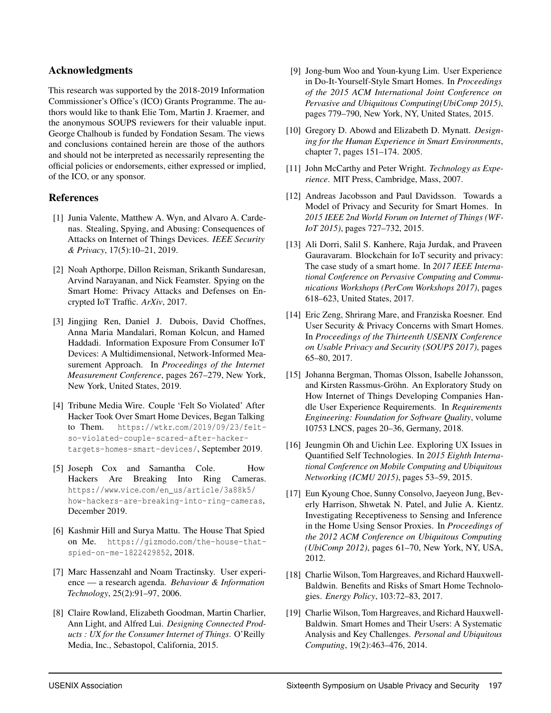### Acknowledgments

This research was supported by the 2018-2019 Information Commissioner's Office's (ICO) Grants Programme. The authors would like to thank Elie Tom, Martin J. Kraemer, and the anonymous SOUPS reviewers for their valuable input. George Chalhoub is funded by Fondation Sesam. The views and conclusions contained herein are those of the authors and should not be interpreted as necessarily representing the official policies or endorsements, either expressed or implied, of the ICO, or any sponsor.

# References

- <span id="page-13-0"></span>[1] Junia Valente, Matthew A. Wyn, and Alvaro A. Cardenas. Stealing, Spying, and Abusing: Consequences of Attacks on Internet of Things Devices. *IEEE Security & Privacy*, 17(5):10–21, 2019.
- <span id="page-13-1"></span>[2] Noah Apthorpe, Dillon Reisman, Srikanth Sundaresan, Arvind Narayanan, and Nick Feamster. Spying on the Smart Home: Privacy Attacks and Defenses on Encrypted IoT Traffic. *ArXiv*, 2017.
- <span id="page-13-2"></span>[3] Jingjing Ren, Daniel J. Dubois, David Choffnes, Anna Maria Mandalari, Roman Kolcun, and Hamed Haddadi. Information Exposure From Consumer IoT Devices: A Multidimensional, Network-Informed Measurement Approach. In *Proceedings of the Internet Measurement Conference*, pages 267–279, New York, New York, United States, 2019.
- <span id="page-13-3"></span>[4] Tribune Media Wire. Couple 'Felt So Violated' After Hacker Took Over Smart Home Devices, Began Talking to Them. https://wtkr.[com/2019/09/23/felt](https://wtkr.com/2019/09/23/felt-so-violated-couple-scared-after-hacker-targets-homes-smart-devices/)[so-violated-couple-scared-after-hacker](https://wtkr.com/2019/09/23/felt-so-violated-couple-scared-after-hacker-targets-homes-smart-devices/)[targets-homes-smart-devices/](https://wtkr.com/2019/09/23/felt-so-violated-couple-scared-after-hacker-targets-homes-smart-devices/), September 2019.
- <span id="page-13-4"></span>[5] Joseph Cox and Samantha Cole. How Hackers Are Breaking Into Ring Cameras. https://www.vice.[com/en\\_us/article/3a88k5/](https://www.vice.com/en_us/article/3a88k5/how-hackers-are-breaking-into-ring-cameras) [how-hackers-are-breaking-into-ring-cameras](https://www.vice.com/en_us/article/3a88k5/how-hackers-are-breaking-into-ring-cameras), December 2019.
- <span id="page-13-5"></span>[6] Kashmir Hill and Surya Mattu. The House That Spied on Me. https://gizmodo.[com/the-house-that](https://gizmodo.com/the-house-that-spied-on-me-1822429852)[spied-on-me-1822429852](https://gizmodo.com/the-house-that-spied-on-me-1822429852), 2018.
- <span id="page-13-6"></span>[7] Marc Hassenzahl and Noam Tractinsky. User experience — a research agenda. *Behaviour & Information Technology*, 25(2):91–97, 2006.
- <span id="page-13-7"></span>[8] Claire Rowland, Elizabeth Goodman, Martin Charlier, Ann Light, and Alfred Lui. *Designing Connected Products : UX for the Consumer Internet of Things*. O'Reilly Media, Inc., Sebastopol, California, 2015.
- [9] Jong-bum Woo and Youn-kyung Lim. User Experience in Do-It-Yourself-Style Smart Homes. In *Proceedings of the 2015 ACM International Joint Conference on Pervasive and Ubiquitous Computing(UbiComp 2015)*, pages 779–790, New York, NY, United States, 2015.
- <span id="page-13-8"></span>[10] Gregory D. Abowd and Elizabeth D. Mynatt. *Designing for the Human Experience in Smart Environments*, chapter 7, pages 151–174. 2005.
- <span id="page-13-9"></span>[11] John McCarthy and Peter Wright. *Technology as Experience*. MIT Press, Cambridge, Mass, 2007.
- <span id="page-13-10"></span>[12] Andreas Jacobsson and Paul Davidsson. Towards a Model of Privacy and Security for Smart Homes. In *2015 IEEE 2nd World Forum on Internet of Things (WF-IoT 2015)*, pages 727–732, 2015.
- <span id="page-13-11"></span>[13] Ali Dorri, Salil S. Kanhere, Raja Jurdak, and Praveen Gauravaram. Blockchain for IoT security and privacy: The case study of a smart home. In *2017 IEEE International Conference on Pervasive Computing and Communications Workshops (PerCom Workshops 2017)*, pages 618–623, United States, 2017.
- <span id="page-13-12"></span>[14] Eric Zeng, Shrirang Mare, and Franziska Roesner. End User Security & Privacy Concerns with Smart Homes. In *Proceedings of the Thirteenth USENIX Conference on Usable Privacy and Security (SOUPS 2017)*, pages 65–80, 2017.
- <span id="page-13-13"></span>[15] Johanna Bergman, Thomas Olsson, Isabelle Johansson, and Kirsten Rassmus-Gröhn. An Exploratory Study on How Internet of Things Developing Companies Handle User Experience Requirements. In *Requirements Engineering: Foundation for Software Quality*, volume 10753 LNCS, pages 20–36, Germany, 2018.
- <span id="page-13-14"></span>[16] Jeungmin Oh and Uichin Lee. Exploring UX Issues in Quantified Self Technologies. In *2015 Eighth International Conference on Mobile Computing and Ubiquitous Networking (ICMU 2015)*, pages 53–59, 2015.
- <span id="page-13-15"></span>[17] Eun Kyoung Choe, Sunny Consolvo, Jaeyeon Jung, Beverly Harrison, Shwetak N. Patel, and Julie A. Kientz. Investigating Receptiveness to Sensing and Inference in the Home Using Sensor Proxies. In *Proceedings of the 2012 ACM Conference on Ubiquitous Computing (UbiComp 2012)*, pages 61–70, New York, NY, USA, 2012.
- [18] Charlie Wilson, Tom Hargreaves, and Richard Hauxwell-Baldwin. Benefits and Risks of Smart Home Technologies. *Energy Policy*, 103:72–83, 2017.
- [19] Charlie Wilson, Tom Hargreaves, and Richard Hauxwell-Baldwin. Smart Homes and Their Users: A Systematic Analysis and Key Challenges. *Personal and Ubiquitous Computing*, 19(2):463–476, 2014.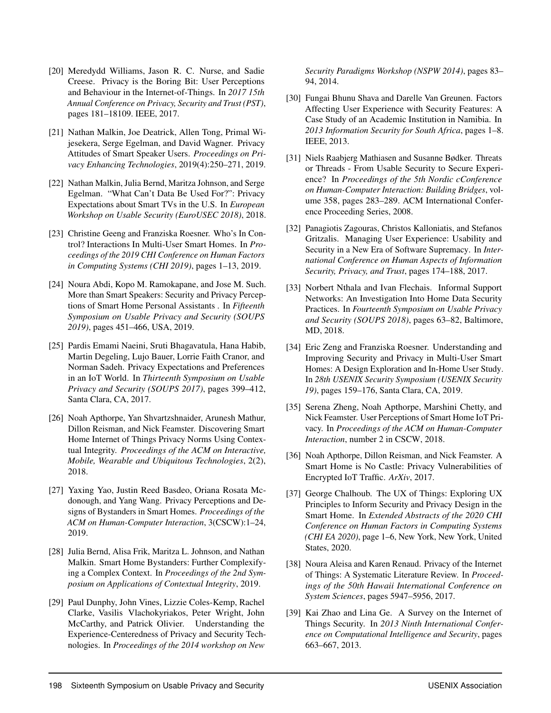- <span id="page-14-0"></span>[20] Meredydd Williams, Jason R. C. Nurse, and Sadie Creese. Privacy is the Boring Bit: User Perceptions and Behaviour in the Internet-of-Things. In *2017 15th Annual Conference on Privacy, Security and Trust (PST)*, pages 181–18109. IEEE, 2017.
- <span id="page-14-1"></span>[21] Nathan Malkin, Joe Deatrick, Allen Tong, Primal Wijesekera, Serge Egelman, and David Wagner. Privacy Attitudes of Smart Speaker Users. *Proceedings on Privacy Enhancing Technologies*, 2019(4):250–271, 2019.
- <span id="page-14-2"></span>[22] Nathan Malkin, Julia Bernd, Maritza Johnson, and Serge Egelman. "What Can't Data Be Used For?": Privacy Expectations about Smart TVs in the U.S. In *European Workshop on Usable Security (EuroUSEC 2018)*, 2018.
- <span id="page-14-3"></span>[23] Christine Geeng and Franziska Roesner. Who's In Control? Interactions In Multi-User Smart Homes. In *Proceedings of the 2019 CHI Conference on Human Factors in Computing Systems (CHI 2019)*, pages 1–13, 2019.
- <span id="page-14-4"></span>[24] Noura Abdi, Kopo M. Ramokapane, and Jose M. Such. More than Smart Speakers: Security and Privacy Perceptions of Smart Home Personal Assistants . In *Fifteenth Symposium on Usable Privacy and Security (SOUPS 2019)*, pages 451–466, USA, 2019.
- <span id="page-14-5"></span>[25] Pardis Emami Naeini, Sruti Bhagavatula, Hana Habib, Martin Degeling, Lujo Bauer, Lorrie Faith Cranor, and Norman Sadeh. Privacy Expectations and Preferences in an IoT World. In *Thirteenth Symposium on Usable Privacy and Security (SOUPS 2017)*, pages 399–412, Santa Clara, CA, 2017.
- <span id="page-14-6"></span>[26] Noah Apthorpe, Yan Shvartzshnaider, Arunesh Mathur, Dillon Reisman, and Nick Feamster. Discovering Smart Home Internet of Things Privacy Norms Using Contextual Integrity. *Proceedings of the ACM on Interactive, Mobile, Wearable and Ubiquitous Technologies*, 2(2), 2018.
- <span id="page-14-7"></span>[27] Yaxing Yao, Justin Reed Basdeo, Oriana Rosata Mcdonough, and Yang Wang. Privacy Perceptions and Designs of Bystanders in Smart Homes. *Proceedings of the ACM on Human-Computer Interaction*, 3(CSCW):1–24, 2019.
- <span id="page-14-8"></span>[28] Julia Bernd, Alisa Frik, Maritza L. Johnson, and Nathan Malkin. Smart Home Bystanders: Further Complexifying a Complex Context. In *Proceedings of the 2nd Symposium on Applications of Contextual Integrity*, 2019.
- <span id="page-14-9"></span>[29] Paul Dunphy, John Vines, Lizzie Coles-Kemp, Rachel Clarke, Vasilis Vlachokyriakos, Peter Wright, John McCarthy, and Patrick Olivier. Understanding the Experience-Centeredness of Privacy and Security Technologies. In *Proceedings of the 2014 workshop on New*

*Security Paradigms Workshop (NSPW 2014)*, pages 83– 94, 2014.

- <span id="page-14-10"></span>[30] Fungai Bhunu Shava and Darelle Van Greunen. Factors Affecting User Experience with Security Features: A Case Study of an Academic Institution in Namibia. In *2013 Information Security for South Africa*, pages 1–8. IEEE, 2013.
- <span id="page-14-11"></span>[31] Niels Raabjerg Mathiasen and Susanne Bødker. Threats or Threads - From Usable Security to Secure Experience? In *Proceedings of the 5th Nordic cConference on Human-Computer Interaction: Building Bridges*, volume 358, pages 283–289. ACM International Conference Proceeding Series, 2008.
- <span id="page-14-12"></span>[32] Panagiotis Zagouras, Christos Kalloniatis, and Stefanos Gritzalis. Managing User Experience: Usability and Security in a New Era of Software Supremacy. In *International Conference on Human Aspects of Information Security, Privacy, and Trust*, pages 174–188, 2017.
- <span id="page-14-13"></span>[33] Norbert Nthala and Ivan Flechais. Informal Support Networks: An Investigation Into Home Data Security Practices. In *Fourteenth Symposium on Usable Privacy and Security (SOUPS 2018)*, pages 63–82, Baltimore, MD, 2018.
- [34] Eric Zeng and Franziska Roesner. Understanding and Improving Security and Privacy in Multi-User Smart Homes: A Design Exploration and In-Home User Study. In *28th USENIX Security Symposium (USENIX Security 19)*, pages 159–176, Santa Clara, CA, 2019.
- [35] Serena Zheng, Noah Apthorpe, Marshini Chetty, and Nick Feamster. User Perceptions of Smart Home IoT Privacy. In *Proceedings of the ACM on Human-Computer Interaction*, number 2 in CSCW, 2018.
- <span id="page-14-14"></span>[36] Noah Apthorpe, Dillon Reisman, and Nick Feamster. A Smart Home is No Castle: Privacy Vulnerabilities of Encrypted IoT Traffic. *ArXiv*, 2017.
- <span id="page-14-15"></span>[37] George Chalhoub. The UX of Things: Exploring UX Principles to Inform Security and Privacy Design in the Smart Home. In *Extended Abstracts of the 2020 CHI Conference on Human Factors in Computing Systems (CHI EA 2020)*, page 1–6, New York, New York, United States, 2020.
- <span id="page-14-16"></span>[38] Noura Aleisa and Karen Renaud. Privacy of the Internet of Things: A Systematic Literature Review. In *Proceedings of the 50th Hawaii International Conference on System Sciences*, pages 5947–5956, 2017.
- <span id="page-14-17"></span>[39] Kai Zhao and Lina Ge. A Survey on the Internet of Things Security. In *2013 Ninth International Conference on Computational Intelligence and Security*, pages 663–667, 2013.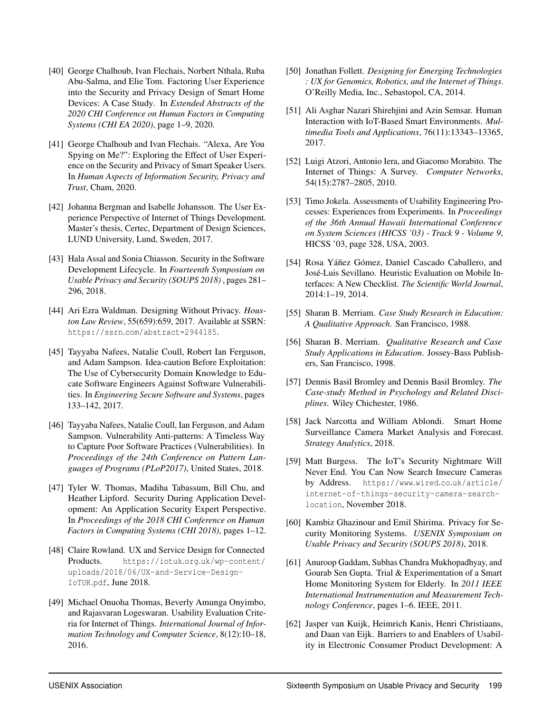- <span id="page-15-0"></span>[40] George Chalhoub, Ivan Flechais, Norbert Nthala, Ruba Abu-Salma, and Elie Tom. Factoring User Experience into the Security and Privacy Design of Smart Home Devices: A Case Study. In *Extended Abstracts of the 2020 CHI Conference on Human Factors in Computing Systems (CHI EA 2020)*, page 1–9, 2020.
- <span id="page-15-1"></span>[41] George Chalhoub and Ivan Flechais. "Alexa, Are You Spying on Me?": Exploring the Effect of User Experience on the Security and Privacy of Smart Speaker Users. In *Human Aspects of Information Security, Privacy and Trust*, Cham, 2020.
- <span id="page-15-2"></span>[42] Johanna Bergman and Isabelle Johansson. The User Experience Perspective of Internet of Things Development. Master's thesis, Certec, Department of Design Sciences, LUND University, Lund, Sweden, 2017.
- <span id="page-15-3"></span>[43] Hala Assal and Sonia Chiasson. Security in the Software Development Lifecycle. In *Fourteenth Symposium on Usable Privacy and Security (SOUPS 2018)* , pages 281– 296, 2018.
- <span id="page-15-4"></span>[44] Ari Ezra Waldman. Designing Without Privacy. *Houston Law Review*, 55(659):659, 2017. Available at SSRN: https://ssrn.[com/abstract=2944185](https://ssrn.com/abstract=2944185).
- <span id="page-15-5"></span>[45] Tayyaba Nafees, Natalie Coull, Robert Ian Ferguson, and Adam Sampson. Idea-caution Before Exploitation: The Use of Cybersecurity Domain Knowledge to Educate Software Engineers Against Software Vulnerabilities. In *Engineering Secure Software and Systems*, pages 133–142, 2017.
- <span id="page-15-6"></span>[46] Tayyaba Nafees, Natalie Coull, Ian Ferguson, and Adam Sampson. Vulnerability Anti-patterns: A Timeless Way to Capture Poor Software Practices (Vulnerabilities). In *Proceedings of the 24th Conference on Pattern Languages of Programs (PLoP2017)*, United States, 2018.
- <span id="page-15-7"></span>[47] Tyler W. Thomas, Madiha Tabassum, Bill Chu, and Heather Lipford. Security During Application Development: An Application Security Expert Perspective. In *Proceedings of the 2018 CHI Conference on Human Factors in Computing Systems (CHI 2018)*, pages 1–12.
- <span id="page-15-8"></span>[48] Claire Rowland. UX and Service Design for Connected Products. https://iotuk.org.[uk/wp-content/](https://iotuk.org.uk/wp-content/uploads/2018/06/UX-and-Service-Design-IoTUK.pdf) [uploads/2018/06/UX-and-Service-Design-](https://iotuk.org.uk/wp-content/uploads/2018/06/UX-and-Service-Design-IoTUK.pdf)[IoTUK](https://iotuk.org.uk/wp-content/uploads/2018/06/UX-and-Service-Design-IoTUK.pdf).pdf, June 2018.
- <span id="page-15-9"></span>[49] Michael Onuoha Thomas, Beverly Amunga Onyimbo, and Rajasvaran Logeswaran. Usability Evaluation Criteria for Internet of Things. *International Journal of Information Technology and Computer Science*, 8(12):10–18, 2016.
- <span id="page-15-10"></span>[50] Jonathan Follett. *Designing for Emerging Technologies : UX for Genomics, Robotics, and the Internet of Things*. O'Reilly Media, Inc., Sebastopol, CA, 2014.
- <span id="page-15-11"></span>[51] Ali Asghar Nazari Shirehjini and Azin Semsar. Human Interaction with IoT-Based Smart Environments. *Multimedia Tools and Applications*, 76(11):13343–13365, 2017.
- <span id="page-15-12"></span>[52] Luigi Atzori, Antonio Iera, and Giacomo Morabito. The Internet of Things: A Survey. *Computer Networks*, 54(15):2787–2805, 2010.
- <span id="page-15-13"></span>[53] Timo Jokela. Assessments of Usability Engineering Processes: Experiences from Experiments. In *Proceedings of the 36th Annual Hawaii International Conference on System Sciences (HICSS '03) - Track 9 - Volume 9*, HICSS '03, page 328, USA, 2003.
- <span id="page-15-14"></span>[54] Rosa Yáñez Gómez, Daniel Cascado Caballero, and José-Luis Sevillano. Heuristic Evaluation on Mobile Interfaces: A New Checklist. *The Scientific World Journal*, 2014:1–19, 2014.
- <span id="page-15-15"></span>[55] Sharan B. Merriam. *Case Study Research in Education: A Qualitative Approach*. San Francisco, 1988.
- [56] Sharan B. Merriam. *Qualitative Research and Case Study Applications in Education*. Jossey-Bass Publishers, San Francisco, 1998.
- <span id="page-15-16"></span>[57] Dennis Basil Bromley and Dennis Basil Bromley. *The Case-study Method in Psychology and Related Disciplines*. Wiley Chichester, 1986.
- <span id="page-15-17"></span>[58] Jack Narcotta and William Ablondi. Smart Home Surveillance Camera Market Analysis and Forecast. *Strategy Analytics*, 2018.
- <span id="page-15-18"></span>[59] Matt Burgess. The IoT's Security Nightmare Will Never End. You Can Now Search Insecure Cameras by Address. [https://www](https://www.wired.co.uk/article/internet-of-things-security-camera-search-location).wired.co.uk/article/ [internet-of-things-security-camera-search](https://www.wired.co.uk/article/internet-of-things-security-camera-search-location)[location](https://www.wired.co.uk/article/internet-of-things-security-camera-search-location), November 2018.
- <span id="page-15-19"></span>[60] Kambiz Ghazinour and Emil Shirima. Privacy for Security Monitoring Systems. *USENIX Symposium on Usable Privacy and Security (SOUPS 2018)*, 2018.
- <span id="page-15-20"></span>[61] Anuroop Gaddam, Subhas Chandra Mukhopadhyay, and Gourab Sen Gupta. Trial & Experimentation of a Smart Home Monitoring System for Elderly. In *2011 IEEE International Instrumentation and Measurement Technology Conference*, pages 1–6. IEEE, 2011.
- <span id="page-15-21"></span>[62] Jasper van Kuijk, Heimrich Kanis, Henri Christiaans, and Daan van Eijk. Barriers to and Enablers of Usability in Electronic Consumer Product Development: A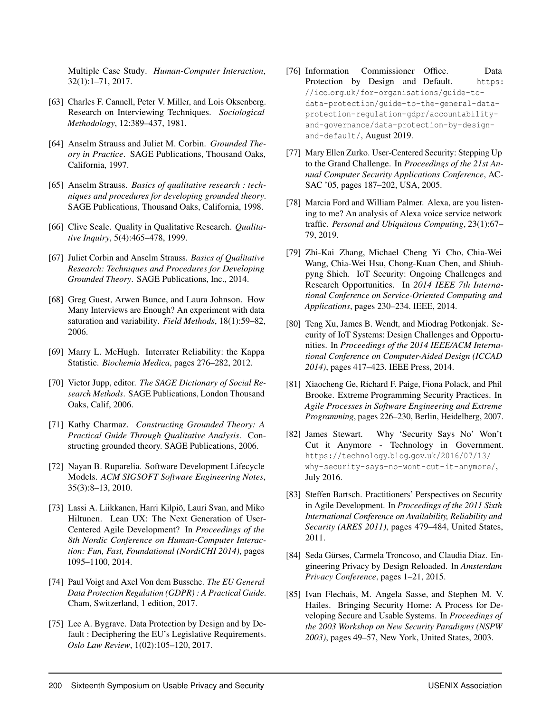Multiple Case Study. *Human-Computer Interaction*, 32(1):1–71, 2017.

- <span id="page-16-0"></span>[63] Charles F. Cannell, Peter V. Miller, and Lois Oksenberg. Research on Interviewing Techniques. *Sociological Methodology*, 12:389–437, 1981.
- <span id="page-16-1"></span>[64] Anselm Strauss and Juliet M. Corbin. *Grounded Theory in Practice*. SAGE Publications, Thousand Oaks, California, 1997.
- <span id="page-16-2"></span>[65] Anselm Strauss. *Basics of qualitative research : techniques and procedures for developing grounded theory*. SAGE Publications, Thousand Oaks, California, 1998.
- <span id="page-16-3"></span>[66] Clive Seale. Quality in Qualitative Research. *Qualitative Inquiry*, 5(4):465–478, 1999.
- [67] Juliet Corbin and Anselm Strauss. *Basics of Qualitative Research: Techniques and Procedures for Developing Grounded Theory*. SAGE Publications, Inc., 2014.
- <span id="page-16-4"></span>[68] Greg Guest, Arwen Bunce, and Laura Johnson. How Many Interviews are Enough? An experiment with data saturation and variability. *Field Methods*, 18(1):59–82, 2006.
- <span id="page-16-5"></span>[69] Marry L. McHugh. Interrater Reliability: the Kappa Statistic. *Biochemia Medica*, pages 276–282, 2012.
- <span id="page-16-6"></span>[70] Victor Jupp, editor. *The SAGE Dictionary of Social Research Methods*. SAGE Publications, London Thousand Oaks, Calif, 2006.
- <span id="page-16-7"></span>[71] Kathy Charmaz. *Constructing Grounded Theory: A Practical Guide Through Qualitative Analysis*. Constructing grounded theory. SAGE Publications, 2006.
- <span id="page-16-8"></span>[72] Nayan B. Ruparelia. Software Development Lifecycle Models. *ACM SIGSOFT Software Engineering Notes*, 35(3):8–13, 2010.
- <span id="page-16-9"></span>[73] Lassi A. Liikkanen, Harri Kilpiö, Lauri Svan, and Miko Hiltunen. Lean UX: The Next Generation of User-Centered Agile Development? In *Proceedings of the 8th Nordic Conference on Human-Computer Interaction: Fun, Fast, Foundational (NordiCHI 2014)*, pages 1095–1100, 2014.
- <span id="page-16-10"></span>[74] Paul Voigt and Axel Von dem Bussche. *The EU General Data Protection Regulation (GDPR) : A Practical Guide*. Cham, Switzerland, 1 edition, 2017.
- <span id="page-16-11"></span>[75] Lee A. Bygrave. Data Protection by Design and by Default : Deciphering the EU's Legislative Requirements. *Oslo Law Review*, 1(02):105–120, 2017.
- <span id="page-16-12"></span>[76] Information Commissioner Office. Data Protection by Design and Default. [https:](https://ico.org.uk/for-organisations/guide-to-data-protection/guide-to-the-general-data-protection-regulation-gdpr/accountability-and-governance/data-protection-by-design-and-default/) //ico.org.[uk/for-organisations/guide-to](https://ico.org.uk/for-organisations/guide-to-data-protection/guide-to-the-general-data-protection-regulation-gdpr/accountability-and-governance/data-protection-by-design-and-default/)[data-protection/guide-to-the-general-data](https://ico.org.uk/for-organisations/guide-to-data-protection/guide-to-the-general-data-protection-regulation-gdpr/accountability-and-governance/data-protection-by-design-and-default/)[protection-regulation-gdpr/accountability](https://ico.org.uk/for-organisations/guide-to-data-protection/guide-to-the-general-data-protection-regulation-gdpr/accountability-and-governance/data-protection-by-design-and-default/)[and-governance/data-protection-by-design](https://ico.org.uk/for-organisations/guide-to-data-protection/guide-to-the-general-data-protection-regulation-gdpr/accountability-and-governance/data-protection-by-design-and-default/)[and-default/](https://ico.org.uk/for-organisations/guide-to-data-protection/guide-to-the-general-data-protection-regulation-gdpr/accountability-and-governance/data-protection-by-design-and-default/), August 2019.
- <span id="page-16-13"></span>[77] Mary Ellen Zurko. User-Centered Security: Stepping Up to the Grand Challenge. In *Proceedings of the 21st Annual Computer Security Applications Conference*, AC-SAC '05, pages 187–202, USA, 2005.
- <span id="page-16-14"></span>[78] Marcia Ford and William Palmer. Alexa, are you listening to me? An analysis of Alexa voice service network traffic. *Personal and Ubiquitous Computing*, 23(1):67– 79, 2019.
- <span id="page-16-15"></span>[79] Zhi-Kai Zhang, Michael Cheng Yi Cho, Chia-Wei Wang, Chia-Wei Hsu, Chong-Kuan Chen, and Shiuhpyng Shieh. IoT Security: Ongoing Challenges and Research Opportunities. In *2014 IEEE 7th International Conference on Service-Oriented Computing and Applications*, pages 230–234. IEEE, 2014.
- <span id="page-16-16"></span>[80] Teng Xu, James B. Wendt, and Miodrag Potkonjak. Security of IoT Systems: Design Challenges and Opportunities. In *Proceedings of the 2014 IEEE/ACM International Conference on Computer-Aided Design (ICCAD 2014)*, pages 417–423. IEEE Press, 2014.
- <span id="page-16-17"></span>[81] Xiaocheng Ge, Richard F. Paige, Fiona Polack, and Phil Brooke. Extreme Programming Security Practices. In *Agile Processes in Software Engineering and Extreme Programming*, pages 226–230, Berlin, Heidelberg, 2007.
- <span id="page-16-18"></span>[82] James Stewart. Why 'Security Says No' Won't Cut it Anymore - Technology in Government. [https://technology](https://technology.blog.gov.uk/2016/07/13/why-security-says-no-wont-cut-it-anymore/).blog.gov.uk/2016/07/13/ [why-security-says-no-wont-cut-it-anymore/](https://technology.blog.gov.uk/2016/07/13/why-security-says-no-wont-cut-it-anymore/), July 2016.
- <span id="page-16-19"></span>[83] Steffen Bartsch. Practitioners' Perspectives on Security in Agile Development. In *Proceedings of the 2011 Sixth International Conference on Availability, Reliability and Security (ARES 2011)*, pages 479–484, United States, 2011.
- <span id="page-16-20"></span>[84] Seda Gürses, Carmela Troncoso, and Claudia Diaz. Engineering Privacy by Design Reloaded. In *Amsterdam Privacy Conference*, pages 1–21, 2015.
- <span id="page-16-21"></span>[85] Ivan Flechais, M. Angela Sasse, and Stephen M. V. Hailes. Bringing Security Home: A Process for Developing Secure and Usable Systems. In *Proceedings of the 2003 Workshop on New Security Paradigms (NSPW 2003)*, pages 49–57, New York, United States, 2003.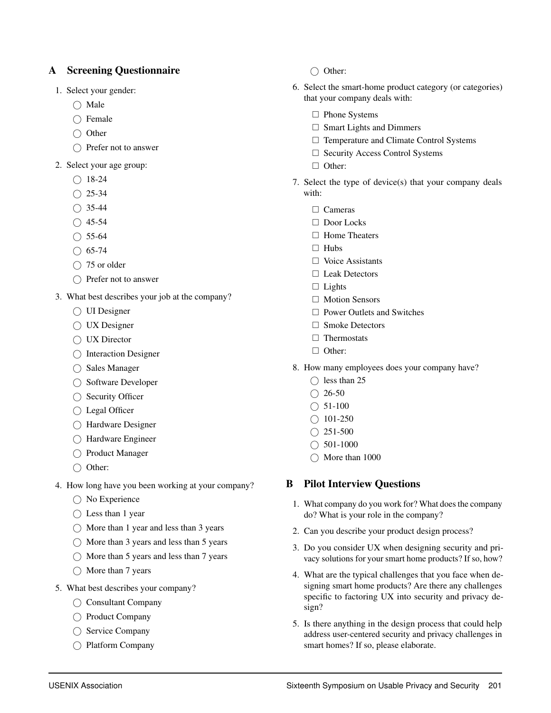# <span id="page-17-0"></span>A Screening Questionnaire

- 1. Select your gender:
	- $\bigcirc$  Male
	- $\bigcap$  Female
	- $\bigcirc$  Other
	- $\bigcap$  Prefer not to answer
- 2. Select your age group:
	- $\bigcirc$  18-24
	- $O$  25-34
	- $\bigcirc$  35-44
	- $\bigcap$  45-54
	- $\bigcirc$  55-64
	- $\bigcirc$  65-74
	- $\bigcirc$  75 or older
	- $\bigcap$  Prefer not to answer
- 3. What best describes your job at the company?
	- ◯ UI Designer
	- UX Designer
	- ◯ UX Director
	- $\bigcap$  Interaction Designer
	- $\bigcap$  Sales Manager
	- ◯ Software Developer
	- $\bigcirc$  Security Officer
	- Legal Officer
	- Hardware Designer
	- Hardware Engineer
	- ◯ Product Manager
	- $\bigcirc$  Other:
- 4. How long have you been working at your company?
	- No Experience
	- $\bigcap$  Less than 1 year
	- $\bigcap$  More than 1 year and less than 3 years
	- $\bigcap$  More than 3 years and less than 5 years
	- $\bigcap$  More than 5 years and less than 7 years
	- $\bigcap$  More than 7 years
- 5. What best describes your company?
	- $\bigcirc$  Consultant Company
	- ◯ Product Company
	- ◯ Service Company
	- Platform Company
- $\bigcap$  Other:
- 6. Select the smart-home product category (or categories) that your company deals with:
	- □ Phone Systems
	- $\square$  Smart Lights and Dimmers
	- $\Box$  Temperature and Climate Control Systems
	- □ Security Access Control Systems
	- □ Other:
- 7. Select the type of device(s) that your company deals with:
	- □ Cameras
	- □ Door Locks
	- □ Home Theaters
	- $\Box$  Hubs
	- $\Box$  Voice Assistants
	- □ Leak Detectors
	- $\Box$  Lights
	- □ Motion Sensors
	- $\Box$  Power Outlets and Switches
	- $\Box$  Smoke Detectors
	- $\Box$  Thermostats
	- □ Other:
- 8. How many employees does your company have?
	- $\bigcap$  less than 25
	- $\bigcirc$  26-50
	- $\bigcirc$  51-100
	- $\bigcirc$  101-250
	- $\bigcirc$  251-500
	- $\bigcirc$  501-1000
	- $\bigcap$  More than 1000

# <span id="page-17-2"></span>B Pilot Interview Questions

- 1. What company do you work for? What does the company do? What is your role in the company?
- 2. Can you describe your product design process?
- 3. Do you consider UX when designing security and privacy solutions for your smart home products? If so, how?
- 4. What are the typical challenges that you face when designing smart home products? Are there any challenges specific to factoring UX into security and privacy design?
- <span id="page-17-1"></span>5. Is there anything in the design process that could help address user-centered security and privacy challenges in smart homes? If so, please elaborate.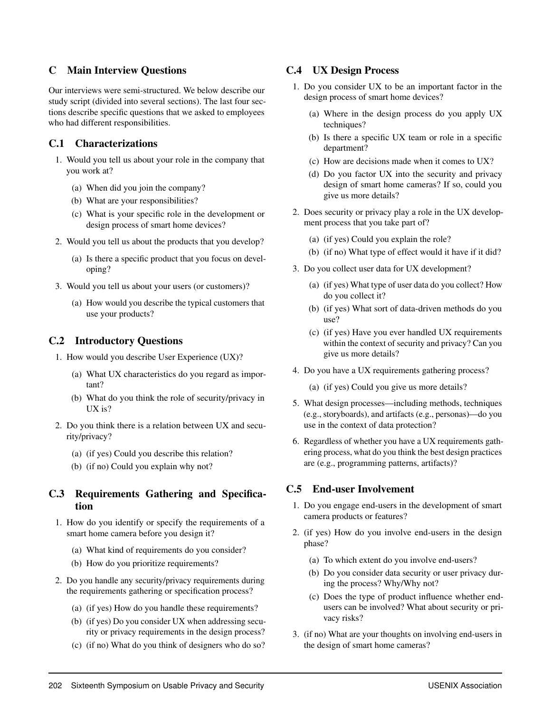# C Main Interview Questions

Our interviews were semi-structured. We below describe our study script (divided into several sections). The last four sections describe specific questions that we asked to employees who had different responsibilities.

# C.1 Characterizations

- 1. Would you tell us about your role in the company that you work at?
	- (a) When did you join the company?
	- (b) What are your responsibilities?
	- (c) What is your specific role in the development or design process of smart home devices?
- 2. Would you tell us about the products that you develop?
	- (a) Is there a specific product that you focus on developing?
- 3. Would you tell us about your users (or customers)?
	- (a) How would you describe the typical customers that use your products?

# C.2 Introductory Questions

- 1. How would you describe User Experience (UX)?
	- (a) What UX characteristics do you regard as important?
	- (b) What do you think the role of security/privacy in UX is?
- 2. Do you think there is a relation between UX and security/privacy?
	- (a) (if yes) Could you describe this relation?
	- (b) (if no) Could you explain why not?

# C.3 Requirements Gathering and Specification

- 1. How do you identify or specify the requirements of a smart home camera before you design it?
	- (a) What kind of requirements do you consider?
	- (b) How do you prioritize requirements?
- 2. Do you handle any security/privacy requirements during the requirements gathering or specification process?
	- (a) (if yes) How do you handle these requirements?
	- (b) (if yes) Do you consider UX when addressing security or privacy requirements in the design process?
	- (c) (if no) What do you think of designers who do so?

# C.4 UX Design Process

- 1. Do you consider UX to be an important factor in the design process of smart home devices?
	- (a) Where in the design process do you apply UX techniques?
	- (b) Is there a specific UX team or role in a specific department?
	- (c) How are decisions made when it comes to UX?
	- (d) Do you factor UX into the security and privacy design of smart home cameras? If so, could you give us more details?
- 2. Does security or privacy play a role in the UX development process that you take part of?
	- (a) (if yes) Could you explain the role?
	- (b) (if no) What type of effect would it have if it did?
- 3. Do you collect user data for UX development?
	- (a) (if yes) What type of user data do you collect? How do you collect it?
	- (b) (if yes) What sort of data-driven methods do you use?
	- (c) (if yes) Have you ever handled UX requirements within the context of security and privacy? Can you give us more details?
- 4. Do you have a UX requirements gathering process?
	- (a) (if yes) Could you give us more details?
- 5. What design processes—including methods, techniques (e.g., storyboards), and artifacts (e.g., personas)—do you use in the context of data protection?
- 6. Regardless of whether you have a UX requirements gathering process, what do you think the best design practices are (e.g., programming patterns, artifacts)?

# C.5 End-user Involvement

- 1. Do you engage end-users in the development of smart camera products or features?
- 2. (if yes) How do you involve end-users in the design phase?
	- (a) To which extent do you involve end-users?
	- (b) Do you consider data security or user privacy during the process? Why/Why not?
	- (c) Does the type of product influence whether endusers can be involved? What about security or privacy risks?
- 3. (if no) What are your thoughts on involving end-users in the design of smart home cameras?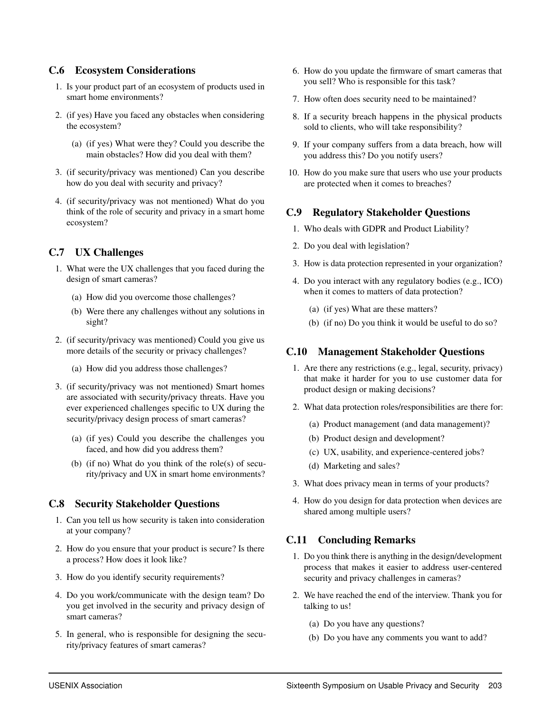# C.6 Ecosystem Considerations

- 1. Is your product part of an ecosystem of products used in smart home environments?
- 2. (if yes) Have you faced any obstacles when considering the ecosystem?
	- (a) (if yes) What were they? Could you describe the main obstacles? How did you deal with them?
- 3. (if security/privacy was mentioned) Can you describe how do you deal with security and privacy?
- 4. (if security/privacy was not mentioned) What do you think of the role of security and privacy in a smart home ecosystem?

# C.7 UX Challenges

- 1. What were the UX challenges that you faced during the design of smart cameras?
	- (a) How did you overcome those challenges?
	- (b) Were there any challenges without any solutions in sight?
- 2. (if security/privacy was mentioned) Could you give us more details of the security or privacy challenges?
	- (a) How did you address those challenges?
- 3. (if security/privacy was not mentioned) Smart homes are associated with security/privacy threats. Have you ever experienced challenges specific to UX during the security/privacy design process of smart cameras?
	- (a) (if yes) Could you describe the challenges you faced, and how did you address them?
	- (b) (if no) What do you think of the role(s) of security/privacy and UX in smart home environments?

# C.8 Security Stakeholder Questions

- 1. Can you tell us how security is taken into consideration at your company?
- 2. How do you ensure that your product is secure? Is there a process? How does it look like?
- 3. How do you identify security requirements?
- 4. Do you work/communicate with the design team? Do you get involved in the security and privacy design of smart cameras?
- 5. In general, who is responsible for designing the security/privacy features of smart cameras?
- 6. How do you update the firmware of smart cameras that you sell? Who is responsible for this task?
- 7. How often does security need to be maintained?
- 8. If a security breach happens in the physical products sold to clients, who will take responsibility?
- 9. If your company suffers from a data breach, how will you address this? Do you notify users?
- 10. How do you make sure that users who use your products are protected when it comes to breaches?

# C.9 Regulatory Stakeholder Questions

- 1. Who deals with GDPR and Product Liability?
- 2. Do you deal with legislation?
- 3. How is data protection represented in your organization?
- 4. Do you interact with any regulatory bodies (e.g., ICO) when it comes to matters of data protection?
	- (a) (if yes) What are these matters?
	- (b) (if no) Do you think it would be useful to do so?

# C.10 Management Stakeholder Questions

- 1. Are there any restrictions (e.g., legal, security, privacy) that make it harder for you to use customer data for product design or making decisions?
- 2. What data protection roles/responsibilities are there for:
	- (a) Product management (and data management)?
	- (b) Product design and development?
	- (c) UX, usability, and experience-centered jobs?
	- (d) Marketing and sales?
- 3. What does privacy mean in terms of your products?
- 4. How do you design for data protection when devices are shared among multiple users?

# C.11 Concluding Remarks

- 1. Do you think there is anything in the design/development process that makes it easier to address user-centered security and privacy challenges in cameras?
- 2. We have reached the end of the interview. Thank you for talking to us!
	- (a) Do you have any questions?
	- (b) Do you have any comments you want to add?